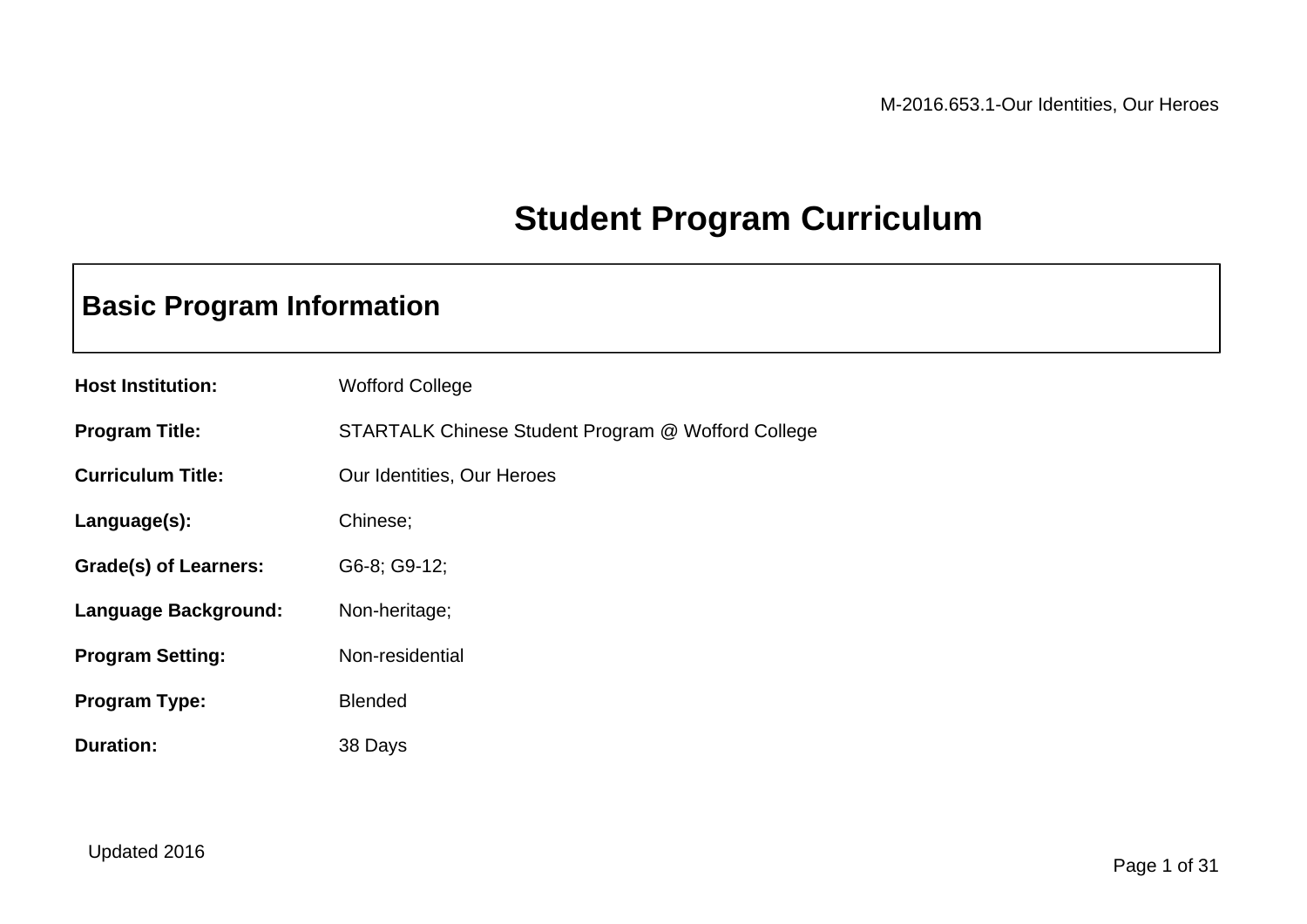## **Student Program Curriculum**

## **Basic Program Information**

| <b>Host Institution:</b>     | <b>Wofford College</b>                             |
|------------------------------|----------------------------------------------------|
| <b>Program Title:</b>        | STARTALK Chinese Student Program @ Wofford College |
| <b>Curriculum Title:</b>     | Our Identities, Our Heroes                         |
| Language(s):                 | Chinese;                                           |
| <b>Grade(s) of Learners:</b> | G6-8; G9-12;                                       |
| Language Background:         | Non-heritage;                                      |
| <b>Program Setting:</b>      | Non-residential                                    |
| <b>Program Type:</b>         | <b>Blended</b>                                     |
| <b>Duration:</b>             | 38 Days                                            |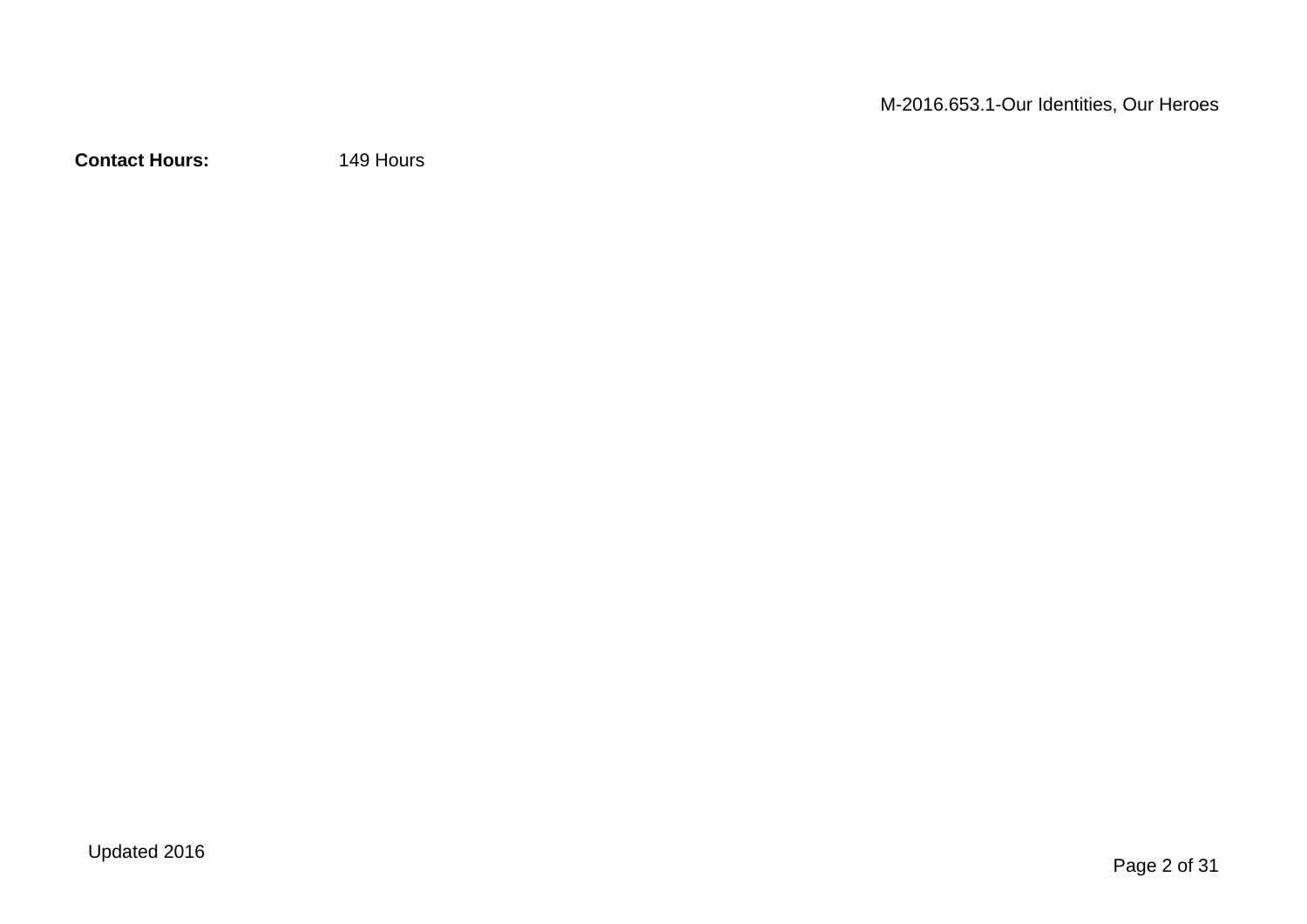**Contact Hours:** 149 Hours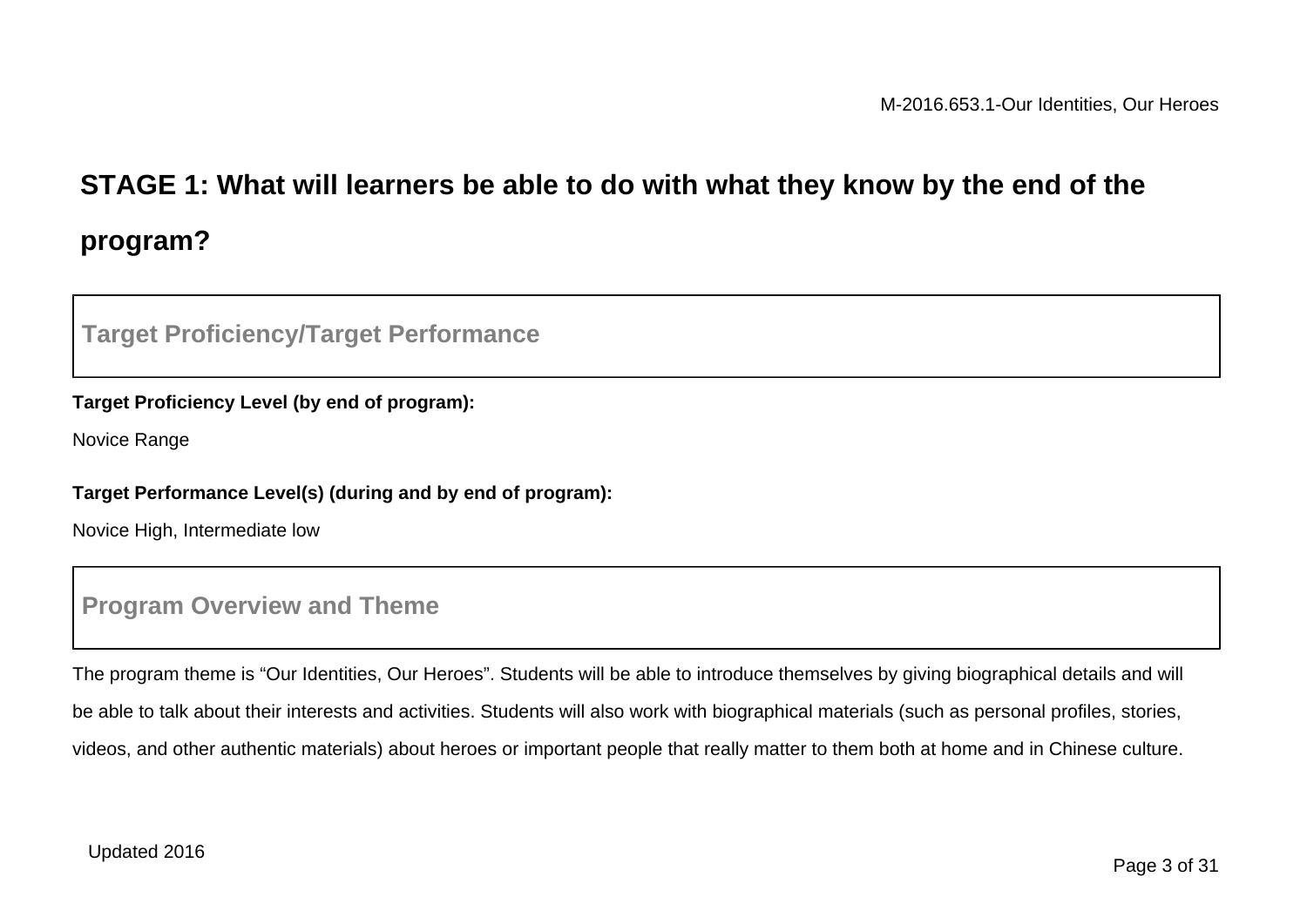# **STAGE 1: What will learners be able to do with what they know by the end of the program?**

### **Target Proficiency/Target Performance**

#### **Target Proficiency Level (by end of program):**

Novice Range

#### **Target Performance Level(s) (during and by end of program):**

Novice High, Intermediate low

### **Program Overview and Theme**

The program theme is "Our Identities, Our Heroes". Students will be able to introduce themselves by giving biographical details and will be able to talk about their interests and activities. Students will also work with biographical materials (such as personal profiles, stories, videos, and other authentic materials) about heroes or important people that really matter to them both at home and in Chinese culture.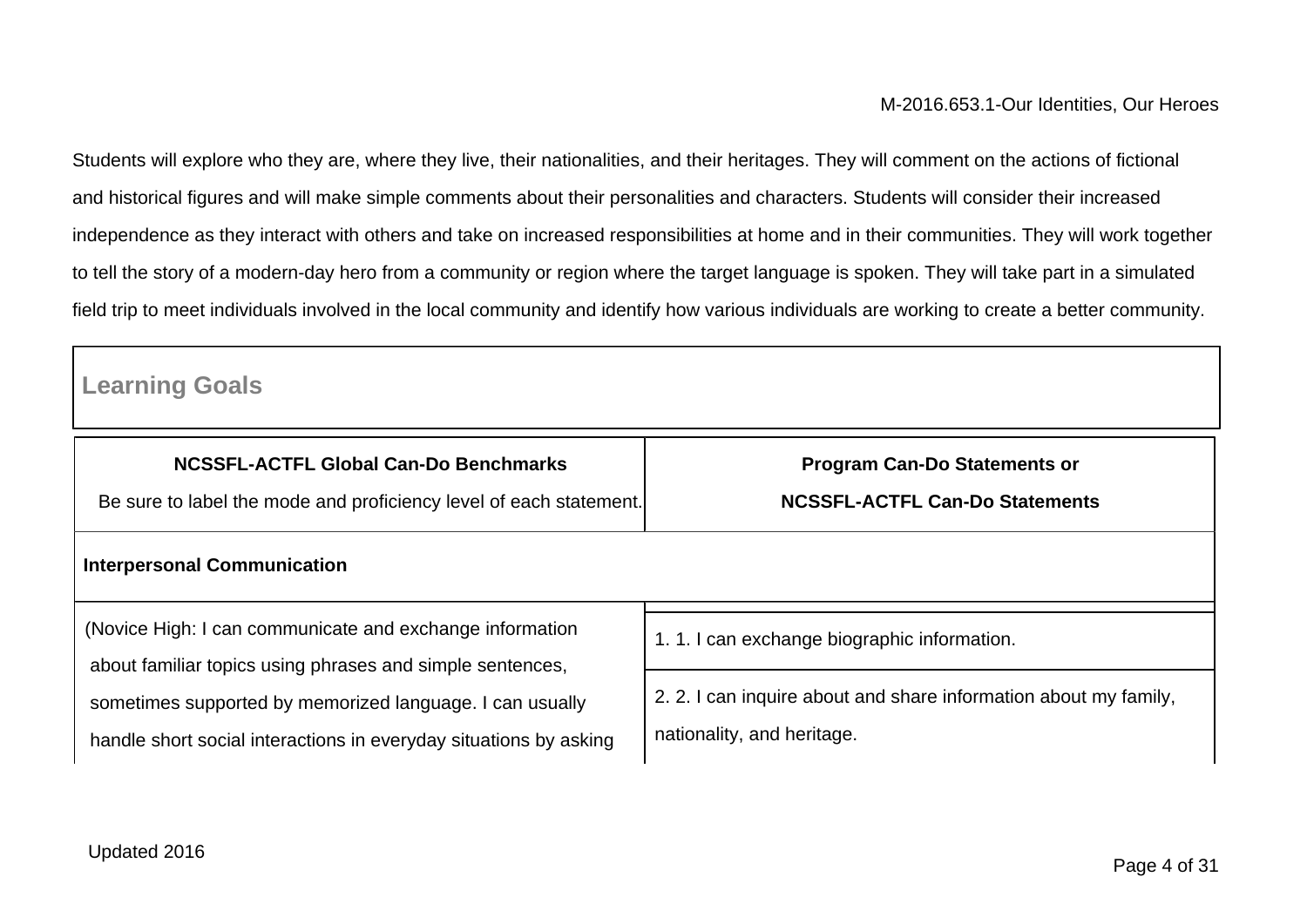Students will explore who they are, where they live, their nationalities, and their heritages. They will comment on the actions of fictional and historical figures and will make simple comments about their personalities and characters. Students will consider their increased independence as they interact with others and take on increased responsibilities at home and in their communities. They will work together to tell the story of a modern-day hero from a community or region where the target language is spoken. They will take part in a simulated field trip to meet individuals involved in the local community and identify how various individuals are working to create a better community.

## **Learning Goals**

| <b>NCSSFL-ACTFL Global Can-Do Benchmarks</b>                                                                          | <b>Program Can-Do Statements or</b>                              |  |
|-----------------------------------------------------------------------------------------------------------------------|------------------------------------------------------------------|--|
| Be sure to label the mode and proficiency level of each statement.                                                    | <b>NCSSFL-ACTFL Can-Do Statements</b>                            |  |
| <b>Interpersonal Communication</b>                                                                                    |                                                                  |  |
| (Novice High: I can communicate and exchange information<br>about familiar topics using phrases and simple sentences, | 1.1.1 can exchange biographic information.                       |  |
| sometimes supported by memorized language. I can usually                                                              | 2. 2. I can inquire about and share information about my family, |  |
| handle short social interactions in everyday situations by asking                                                     | nationality, and heritage.                                       |  |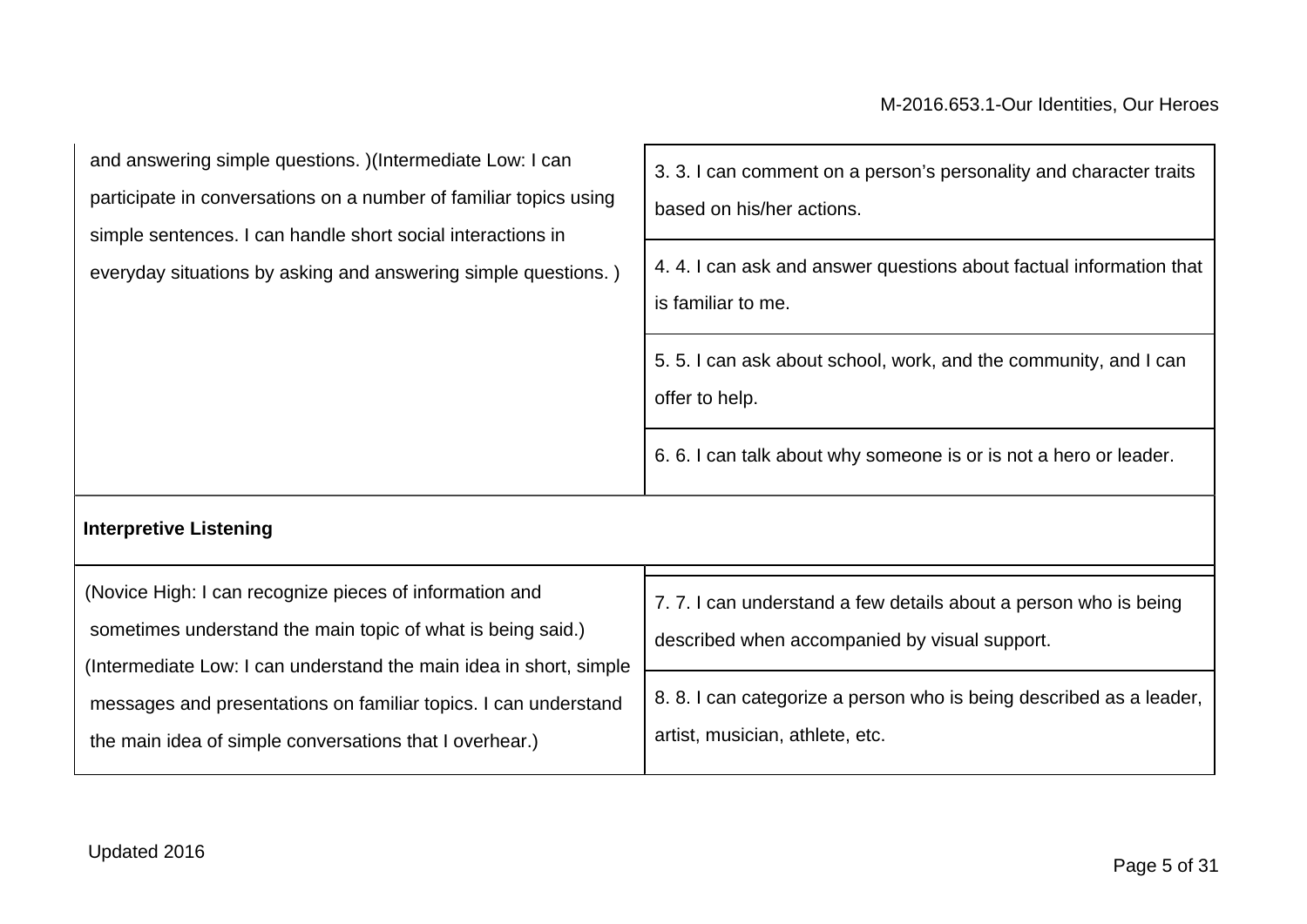| 3. 3. I can comment on a person's personality and character traits<br>based on his/her actions.<br>4.4.1 can ask and answer questions about factual information that<br>is familiar to me.<br>5.5.1 can ask about school, work, and the community, and I can<br>offer to help.<br>6. 6. I can talk about why someone is or is not a hero or leader. |
|-----------------------------------------------------------------------------------------------------------------------------------------------------------------------------------------------------------------------------------------------------------------------------------------------------------------------------------------------------|
|                                                                                                                                                                                                                                                                                                                                                     |
| 7.7.1 can understand a few details about a person who is being<br>described when accompanied by visual support.                                                                                                                                                                                                                                     |
|                                                                                                                                                                                                                                                                                                                                                     |

 messages and presentations on familiar topics. I can understand 8. 8. I can categorize a person who is being described as a leader, artist, musician, athlete, etc.

the main idea of simple conversations that I overhear.)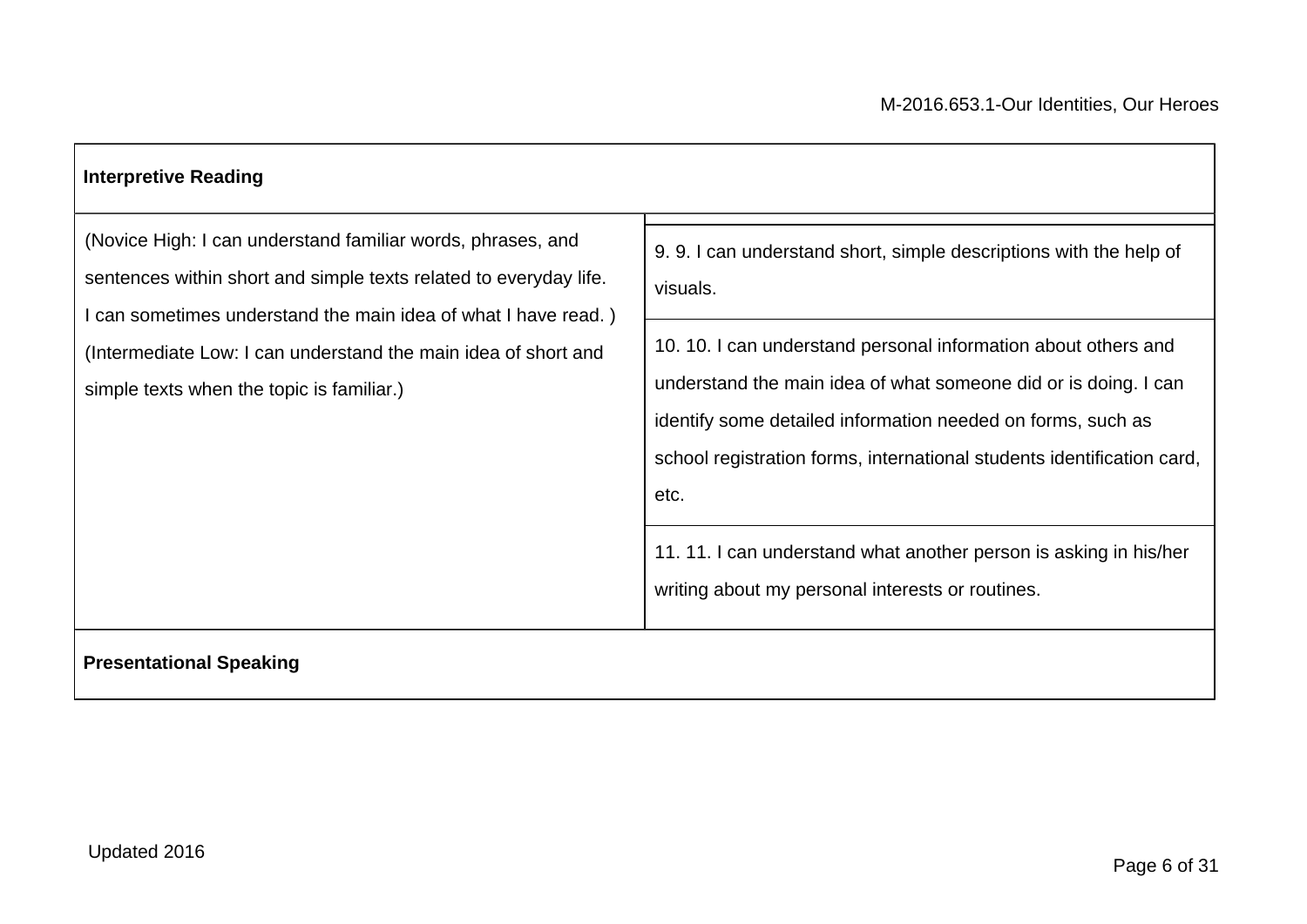## **Interpretive Reading** (Novice High: I can understand familiar words, phrases, and sentences within short and simple texts related to everyday life. I can sometimes understand the main idea of what I have read. ) (Intermediate Low: I can understand the main idea of short and simple texts when the topic is familiar.) 9. 9. I can understand short, simple descriptions with the help of visuals. 10. 10. I can understand personal information about others and understand the main idea of what someone did or is doing. I can identify some detailed information needed on forms, such as school registration forms, international students identification card, etc. 11. 11. I can understand what another person is asking in his/her writing about my personal interests or routines. **Presentational Speaking**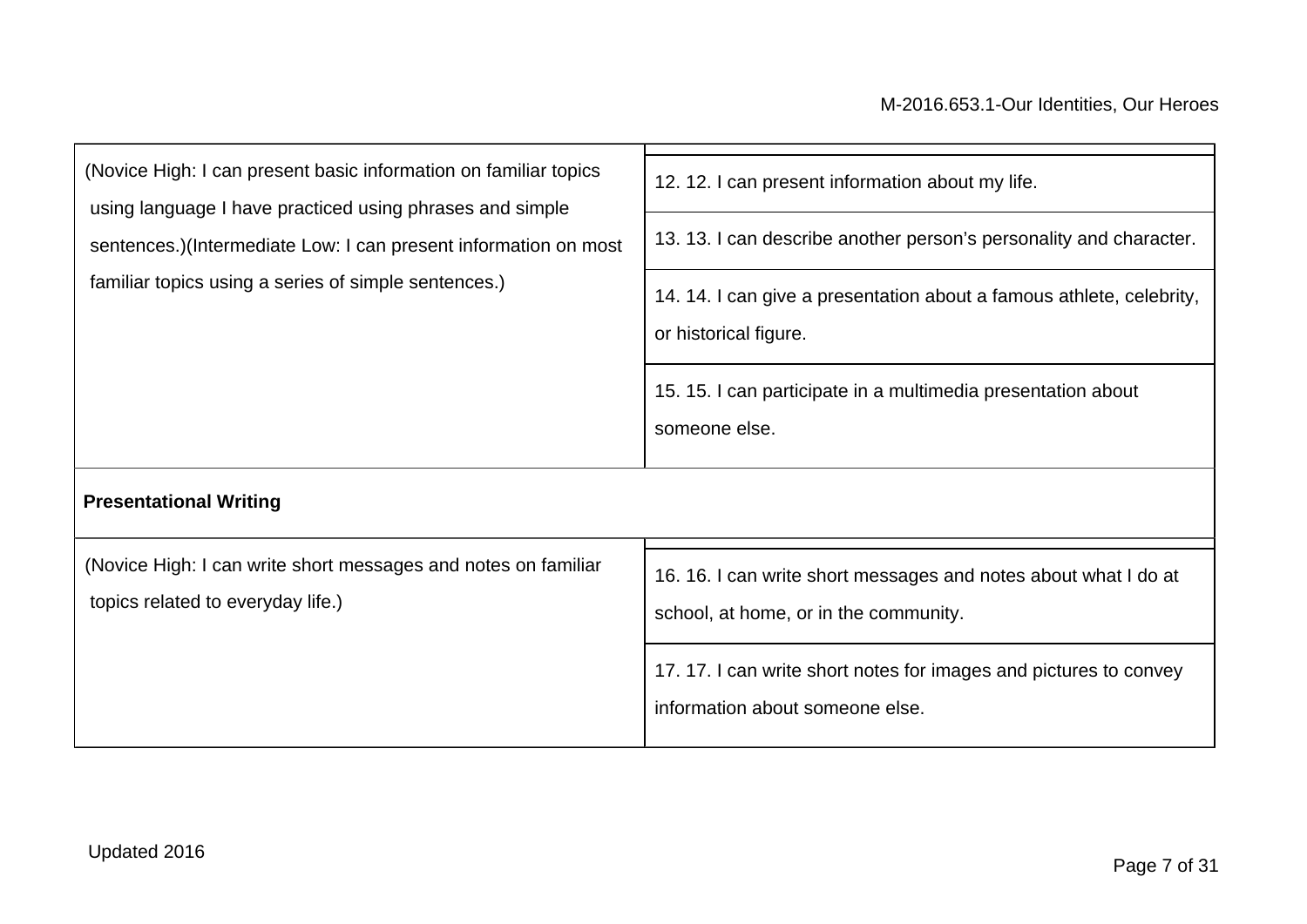| (Novice High: I can present basic information on familiar topics<br>using language I have practiced using phrases and simple | 12. 12. I can present information about my life.                                                         |  |
|------------------------------------------------------------------------------------------------------------------------------|----------------------------------------------------------------------------------------------------------|--|
| sentences.)(Intermediate Low: I can present information on most                                                              | 13. 13. I can describe another person's personality and character.                                       |  |
| familiar topics using a series of simple sentences.)                                                                         | 14. 14. I can give a presentation about a famous athlete, celebrity,<br>or historical figure.            |  |
|                                                                                                                              | 15. 15. I can participate in a multimedia presentation about<br>someone else.                            |  |
| <b>Presentational Writing</b>                                                                                                |                                                                                                          |  |
| (Novice High: I can write short messages and notes on familiar<br>topics related to everyday life.)                          | 16. 16. I can write short messages and notes about what I do at<br>school, at home, or in the community. |  |
|                                                                                                                              | 17.17. I can write short notes for images and pictures to convey<br>information about someone else.      |  |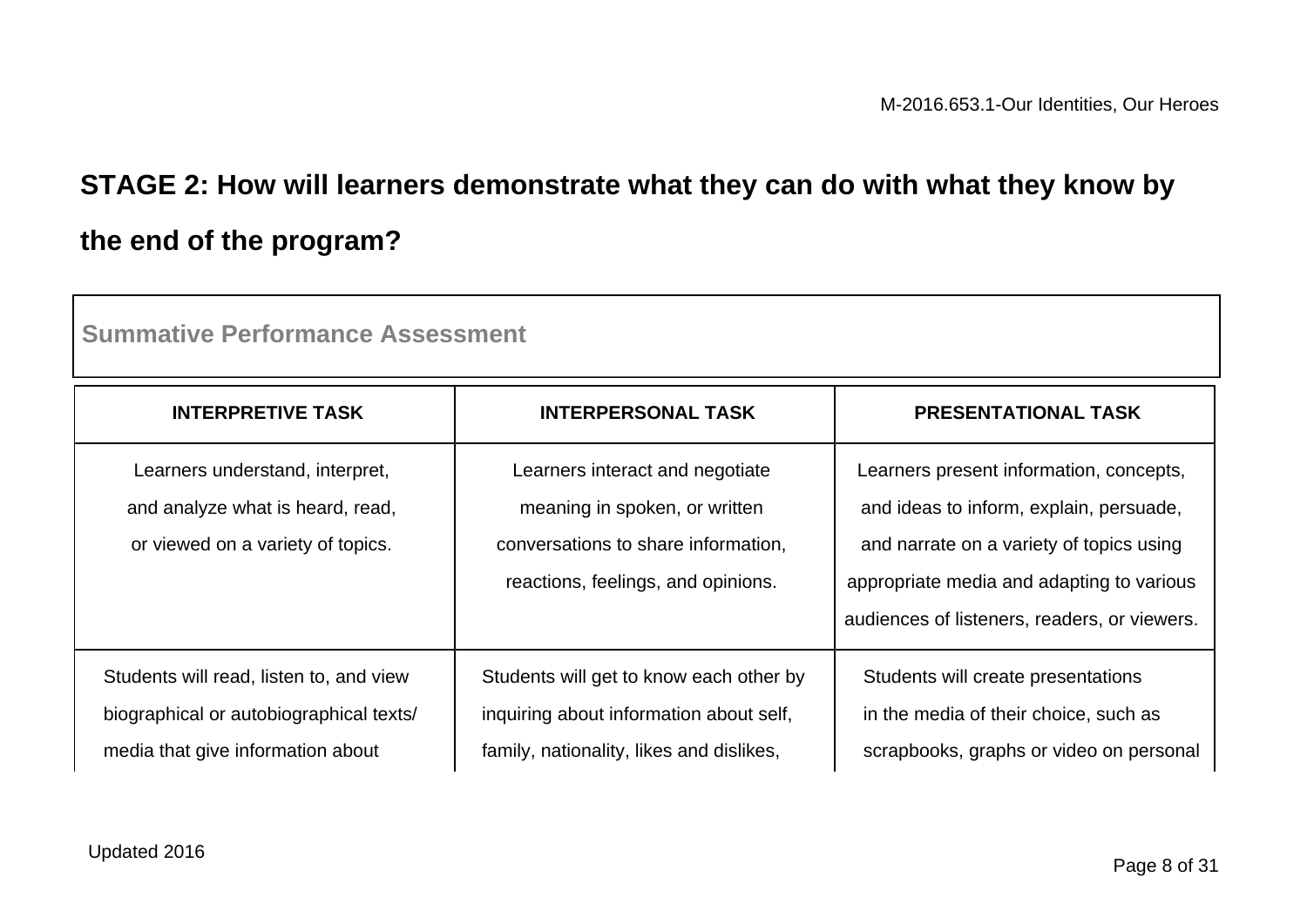# **STAGE 2: How will learners demonstrate what they can do with what they know by the end of the program?**

| <b>INTERPRETIVE TASK</b>                                                                                                | <b>INTERPERSONAL TASK</b>                                                                                                                     | <b>PRESENTATIONAL TASK</b>                                                                                                                                                                                                  |  |
|-------------------------------------------------------------------------------------------------------------------------|-----------------------------------------------------------------------------------------------------------------------------------------------|-----------------------------------------------------------------------------------------------------------------------------------------------------------------------------------------------------------------------------|--|
| Learners understand, interpret,<br>and analyze what is heard, read,<br>or viewed on a variety of topics.                | Learners interact and negotiate<br>meaning in spoken, or written<br>conversations to share information,<br>reactions, feelings, and opinions. | Learners present information, concepts,<br>and ideas to inform, explain, persuade,<br>and narrate on a variety of topics using<br>appropriate media and adapting to various<br>audiences of listeners, readers, or viewers. |  |
| Students will read, listen to, and view<br>biographical or autobiographical texts/<br>media that give information about | Students will get to know each other by<br>inquiring about information about self,<br>family, nationality, likes and dislikes,                | Students will create presentations<br>in the media of their choice, such as<br>scrapbooks, graphs or video on personal                                                                                                      |  |

**Summative Performance Assessment**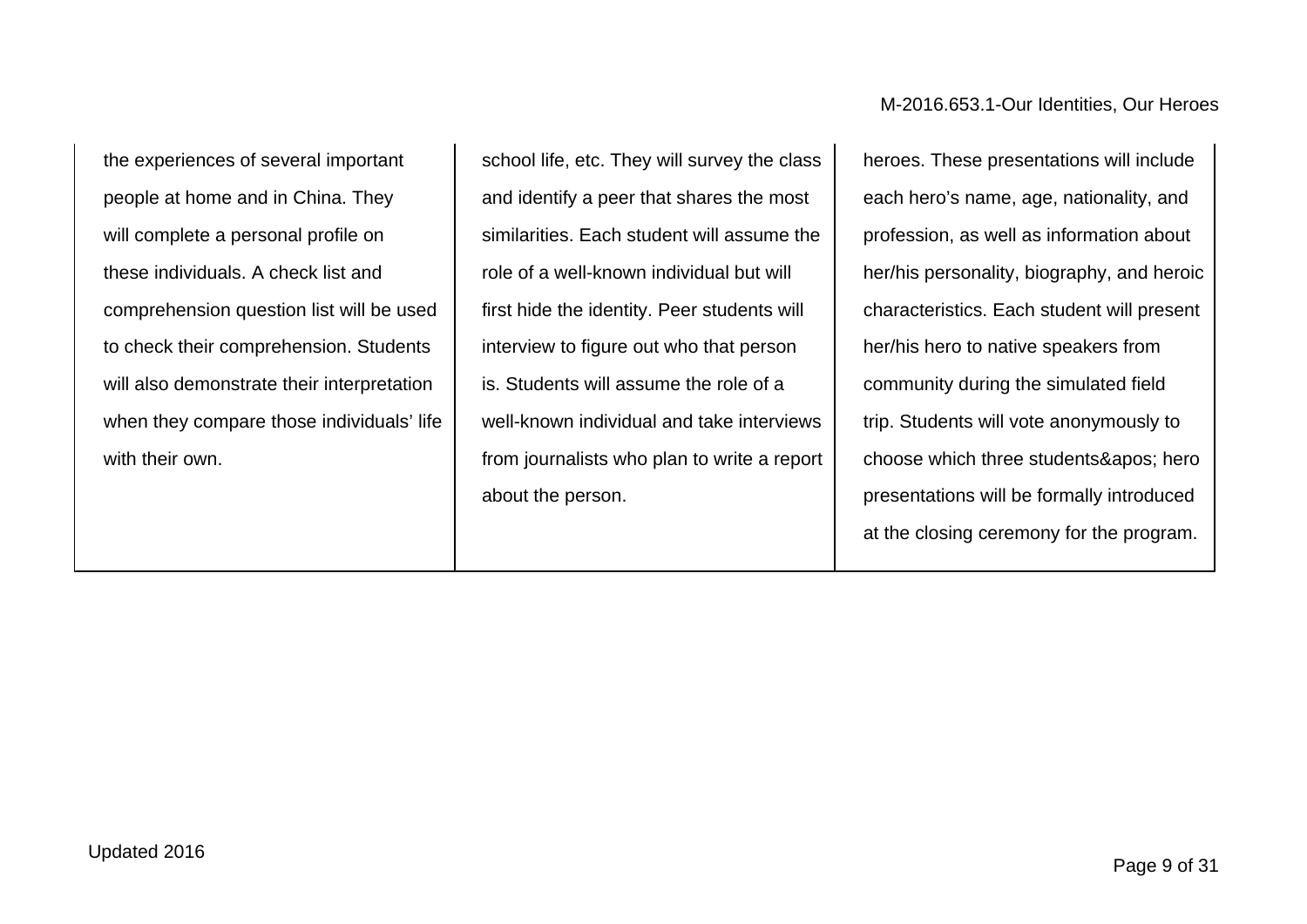the experiences of several important people at home and in China. They will complete a personal profile on these individuals. A check list and comprehension question list will be used to check their comprehension. Students will also demonstrate their interpretation when they compare those individuals' life with their own.

school life, etc. They will survey the class and identify a peer that shares the most similarities. Each student will assume the role of a well-known individual but will first hide the identity. Peer students will interview to figure out who that person is. Students will assume the role of a well-known individual and take interviews from journalists who plan to write a report about the person.

M-2016.653.1-Our Identities, Our Heroes

heroes. These presentations will include each hero's name, age, nationality, and profession, as well as information about her/his personality, biography, and heroic characteristics. Each student will present her/his hero to native speakers from community during the simulated field trip. Students will vote anonymously to choose which three students' hero presentations will be formally introduced at the closing ceremony for the program.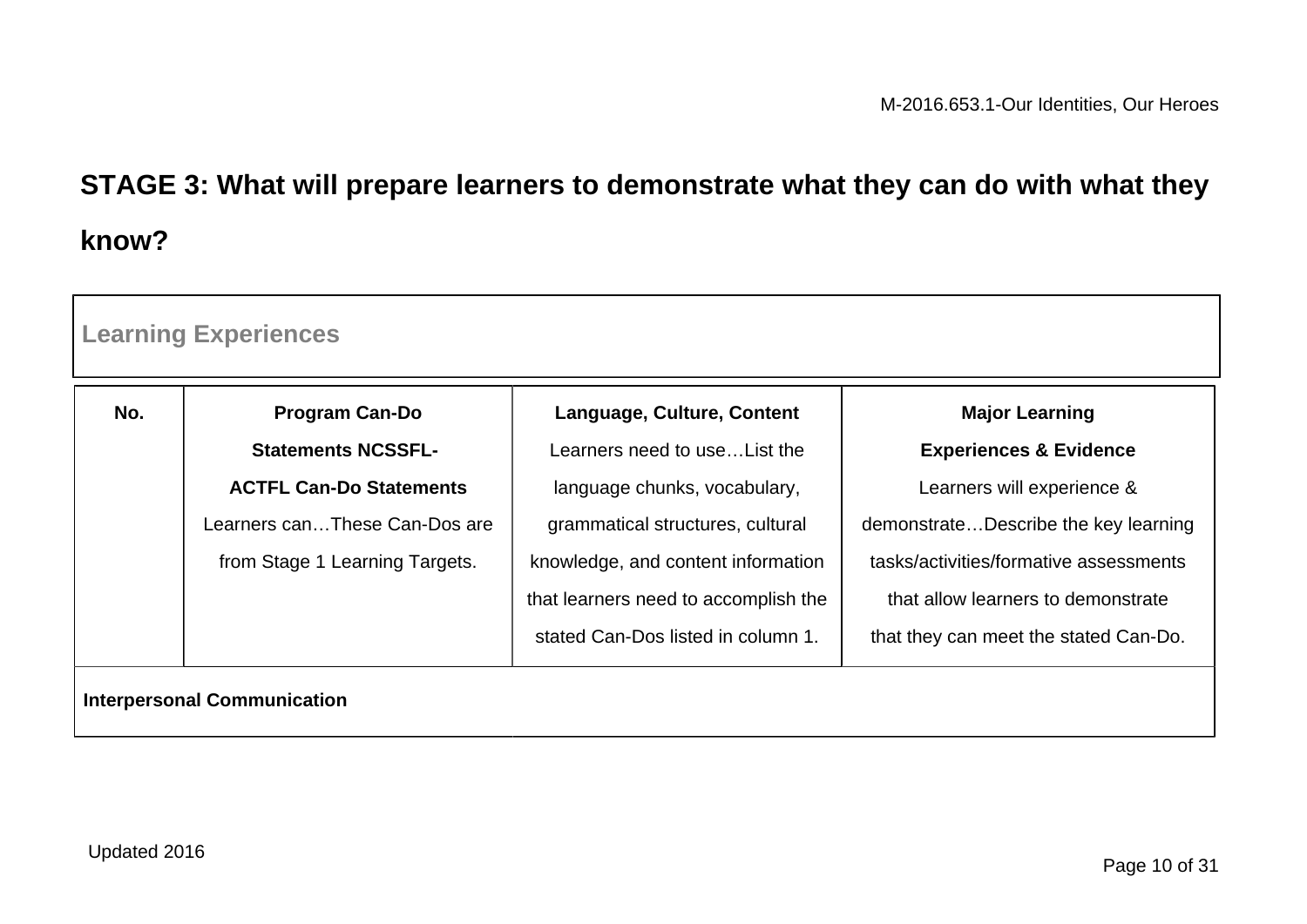# **STAGE 3: What will prepare learners to demonstrate what they can do with what they know?**

| <b>Learning Experiences</b>        |                                |                                      |                                        |  |
|------------------------------------|--------------------------------|--------------------------------------|----------------------------------------|--|
| No.                                | <b>Program Can-Do</b>          | Language, Culture, Content           | <b>Major Learning</b>                  |  |
|                                    | <b>Statements NCSSFL-</b>      | Learners need to use List the        | <b>Experiences &amp; Evidence</b>      |  |
|                                    | <b>ACTFL Can-Do Statements</b> | language chunks, vocabulary,         | Learners will experience &             |  |
|                                    | Learners canThese Can-Dos are  | grammatical structures, cultural     | demonstrateDescribe the key learning   |  |
|                                    | from Stage 1 Learning Targets. | knowledge, and content information   | tasks/activities/formative assessments |  |
|                                    |                                | that learners need to accomplish the | that allow learners to demonstrate     |  |
|                                    |                                | stated Can-Dos listed in column 1.   | that they can meet the stated Can-Do.  |  |
| <b>Interpersonal Communication</b> |                                |                                      |                                        |  |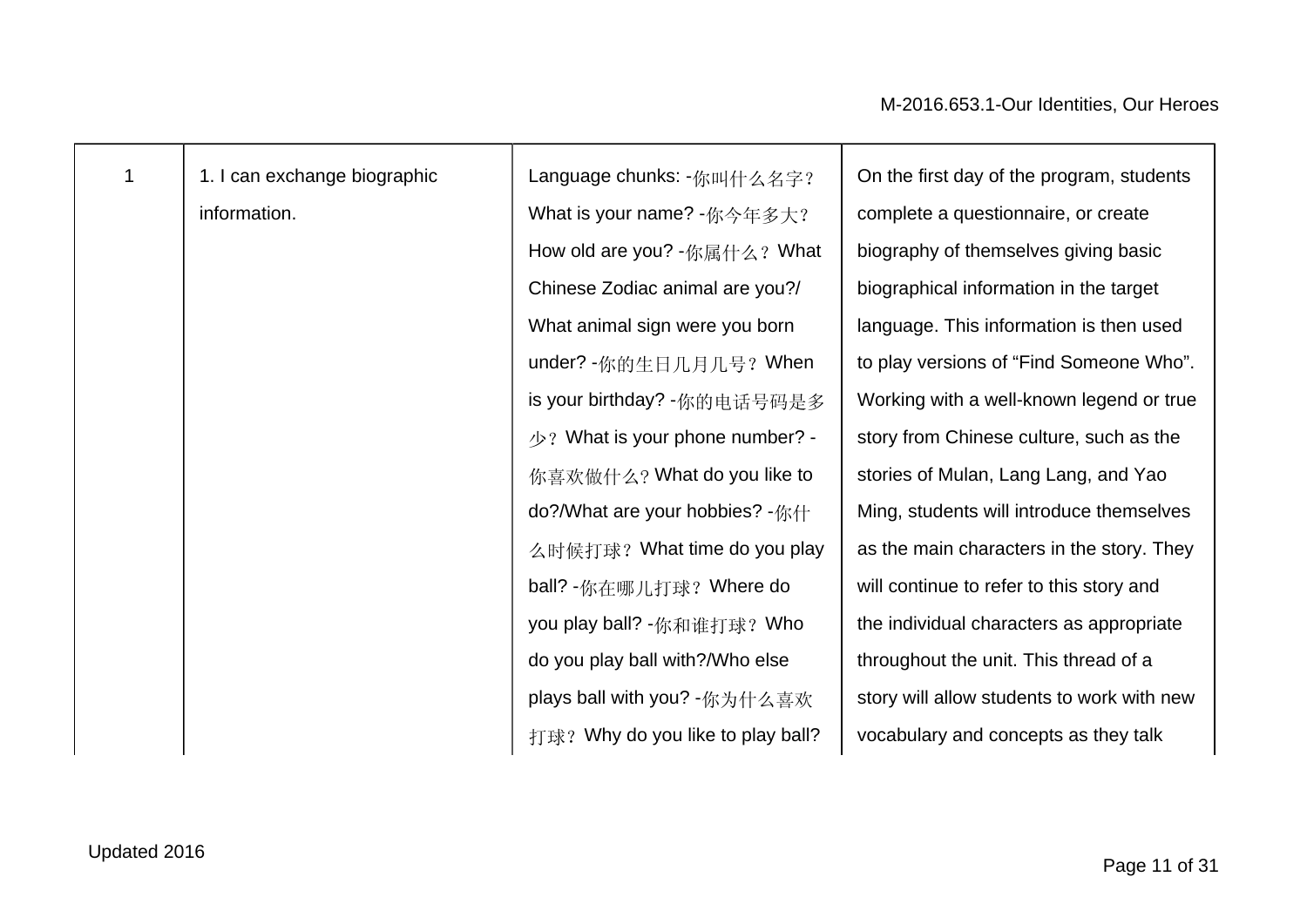| 1 | 1. I can exchange biographic | Language chunks: -你叫什么名字?                 | On the first day of the program, students  |
|---|------------------------------|-------------------------------------------|--------------------------------------------|
|   | information.                 | What is your name? -你今年多大?                | complete a questionnaire, or create        |
|   |                              | How old are you? -你属什么? What              | biography of themselves giving basic       |
|   |                              | Chinese Zodiac animal are you?/           | biographical information in the target     |
|   |                              | What animal sign were you born            | language. This information is then used    |
|   |                              | under? -你的生日几月几号? When                    | to play versions of "Find Someone Who".    |
|   |                              | is your birthday? -你的电话号码是多               | Working with a well-known legend or true   |
|   |                              | $\sqrt{2}$ ? What is your phone number? - | story from Chinese culture, such as the    |
|   |                              | 你喜欢做什么? What do you like to               | stories of Mulan, Lang Lang, and Yao       |
|   |                              | do?/What are your hobbies? -你什            | Ming, students will introduce themselves   |
|   |                              | 么时候打球? What time do you play              | as the main characters in the story. They  |
|   |                              | ball? -你在哪儿打球? Where do                   | will continue to refer to this story and   |
|   |                              | you play ball? -你和谁打球? Who                | the individual characters as appropriate   |
|   |                              | do you play ball with?/Who else           | throughout the unit. This thread of a      |
|   |                              | plays ball with you? -你为什么喜欢              | story will allow students to work with new |
|   |                              | 打球? Why do you like to play ball?         | vocabulary and concepts as they talk       |
|   |                              |                                           |                                            |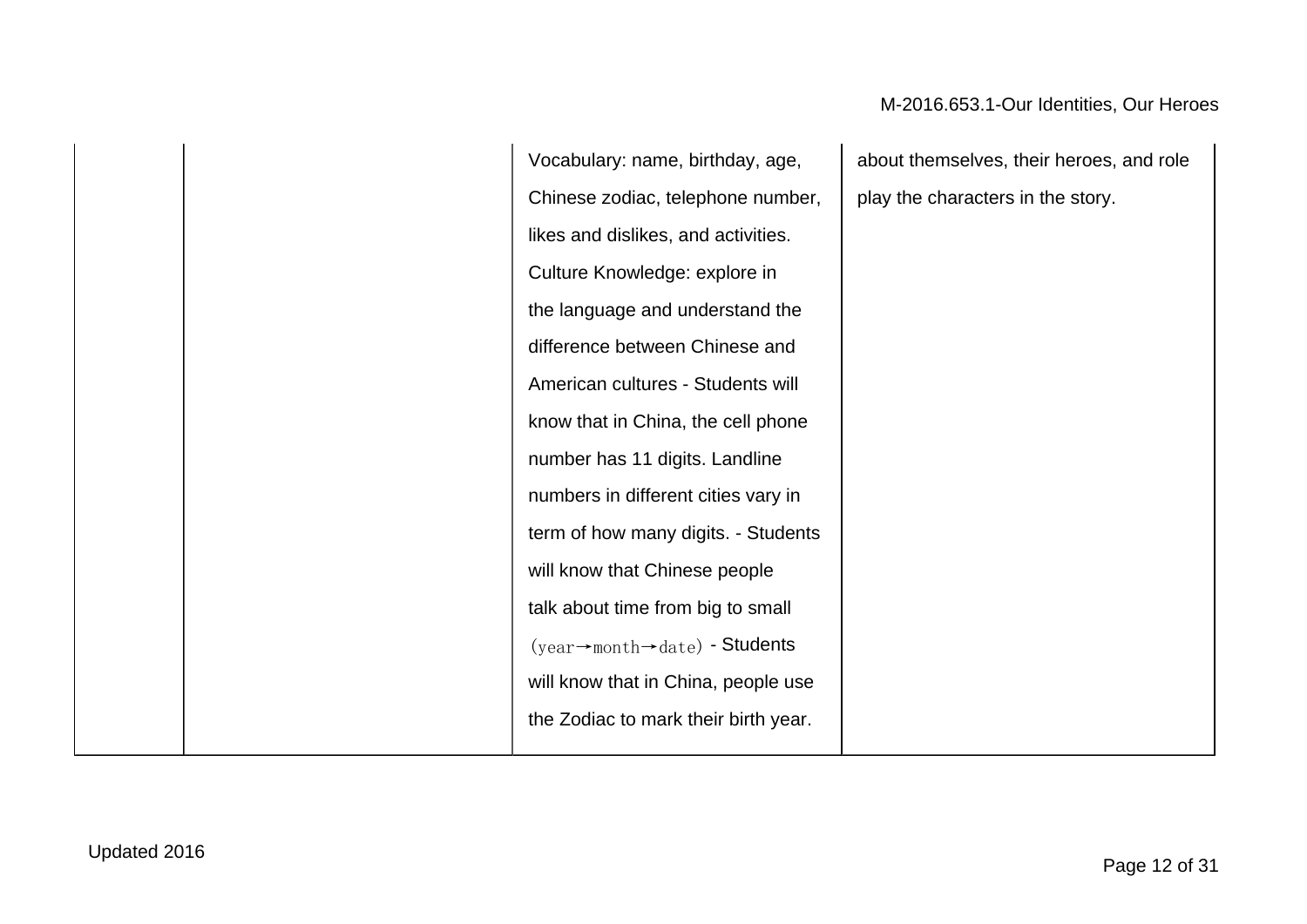Vocabulary: name, birthday, age, Chinese zodiac, telephone number, likes and dislikes, and activities. Culture Knowledge: explore in the language and understand the difference between Chinese and American cultures - Students will know that in China, the cell phone number has 11 digits. Landline numbers in different cities vary in term of how many digits. - Students will know that Chinese people talk about time from big to small (year→month→date) - Students will know that in China, people use the Zodiac to mark their birth year.

about themselves, their heroes, and role play the characters in the story.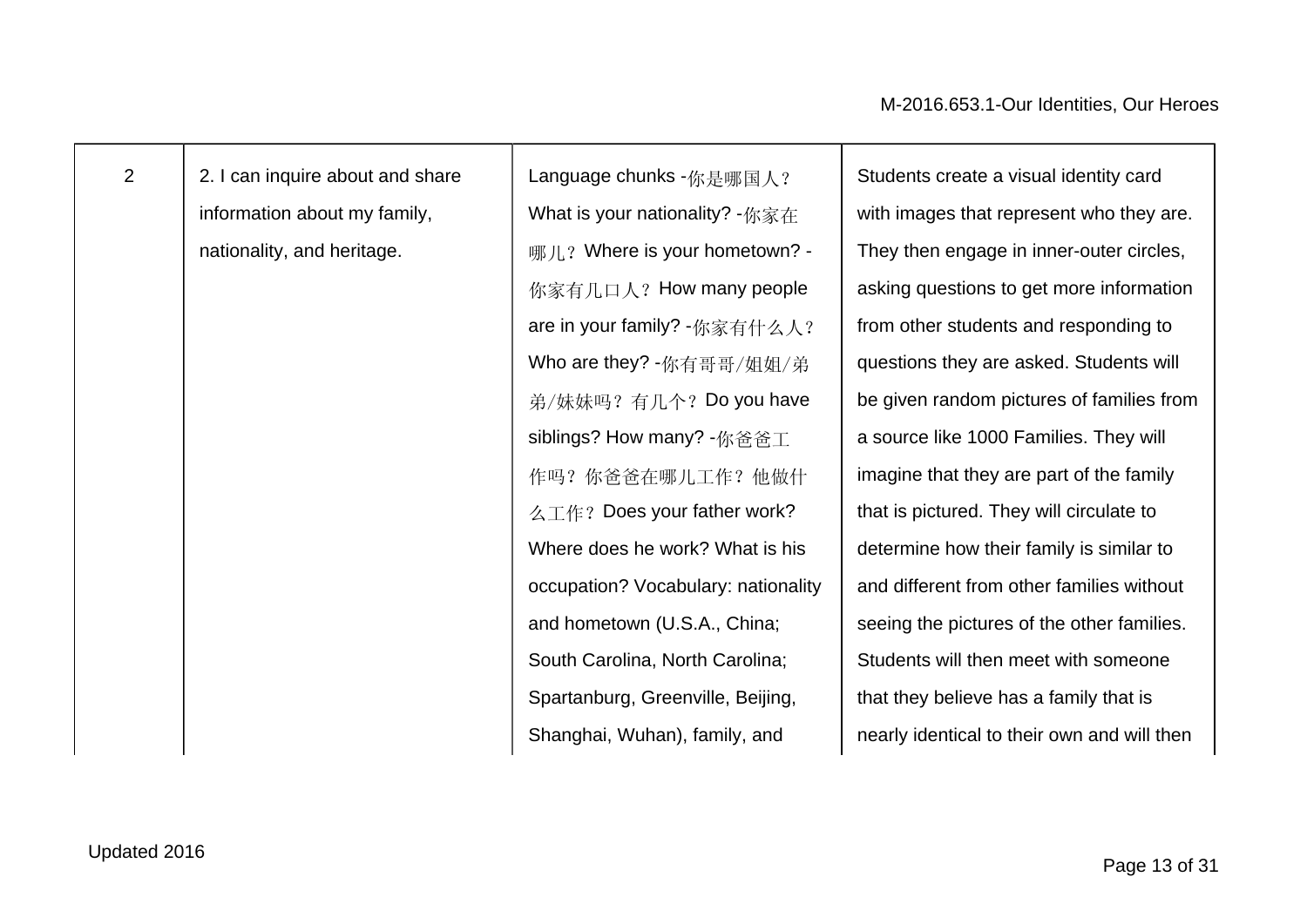| v<br>× |  |
|--------|--|

2 2.1 can inquire about and share information about my family, nationality, and heritage.

Language chunks - 你是哪国人? What is your nationality? -你家在 哪儿? Where is your hometown? -你家有几口人? How many people are in your family? -你家有什么人? Who are they? -你有哥哥/姐姐/弟 弟/妹妹吗?有几个? Do you have siblings? How many? -你爸爸工 作吗?你爸爸在哪儿工作?他做什 么工作? Does your father work? Where does he work? What is his occupation? Vocabulary: nationality and hometown (U.S.A., China; South Carolina, North Carolina; Spartanburg, Greenville, Beijing, Shanghai, Wuhan), family, and

Students create a visual identity card with images that represent who they are. They then engage in inner-outer circles, asking questions to get more information from other students and responding to questions they are asked. Students will be given random pictures of families from a source like 1000 Families. They will imagine that they are part of the family that is pictured. They will circulate to determine how their family is similar to and different from other families without seeing the pictures of the other families. Students will then meet with someone that they believe has a family that is nearly identical to their own and will then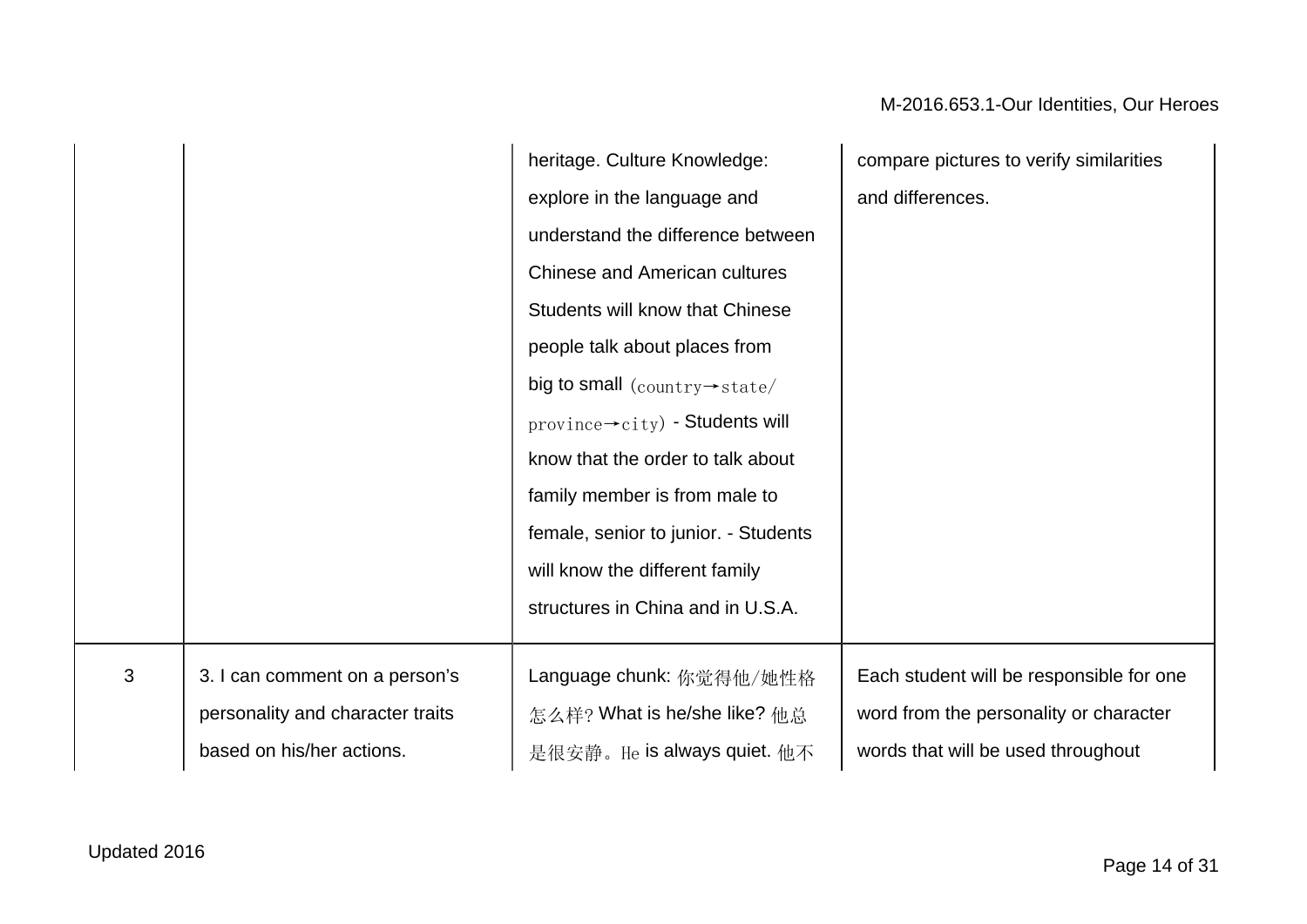|   |                                  | heritage. Culture Knowledge:                                     | compare pictures to verify similarities  |
|---|----------------------------------|------------------------------------------------------------------|------------------------------------------|
|   |                                  | explore in the language and                                      | and differences.                         |
|   |                                  | understand the difference between                                |                                          |
|   |                                  | <b>Chinese and American cultures</b>                             |                                          |
|   |                                  | Students will know that Chinese                                  |                                          |
|   |                                  | people talk about places from                                    |                                          |
|   |                                  | big to small $\frac{1}{\text{country} \rightarrow \text{state}}$ |                                          |
|   |                                  | $\text{province} \rightarrow \text{city}$ - Students will        |                                          |
|   |                                  | know that the order to talk about                                |                                          |
|   |                                  | family member is from male to                                    |                                          |
|   |                                  | female, senior to junior. - Students                             |                                          |
|   |                                  | will know the different family                                   |                                          |
|   |                                  | structures in China and in U.S.A.                                |                                          |
|   |                                  |                                                                  |                                          |
| 3 | 3. I can comment on a person's   | Language chunk: 你觉得他/她性格                                         | Each student will be responsible for one |
|   | personality and character traits | 怎么样? What is he/she like? 他总                                     | word from the personality or character   |
|   | based on his/her actions.        | 是很安静。He is always quiet. 他不                                      | words that will be used throughout       |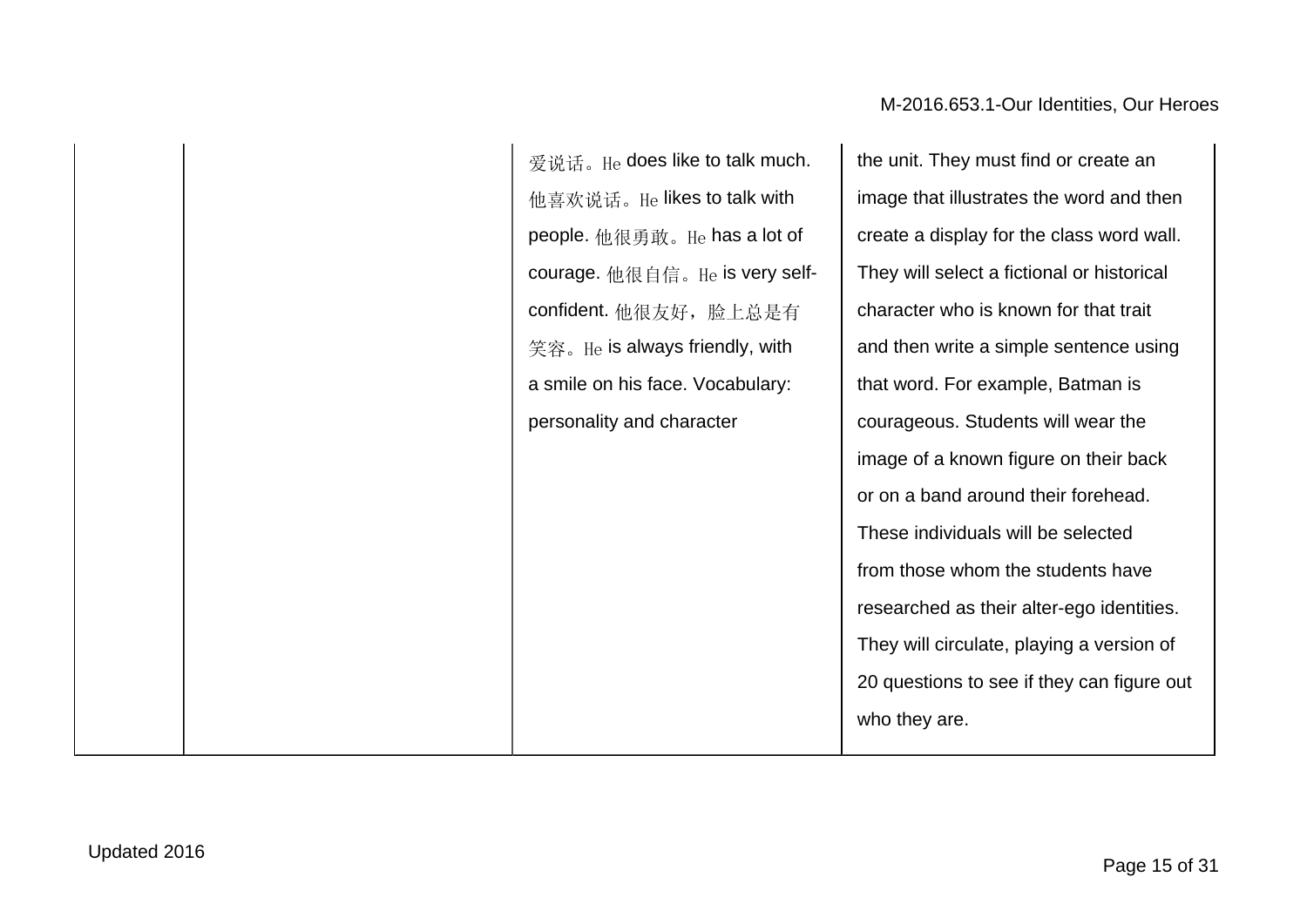爱说话。He does like to talk much. 他喜欢说话。He likes to talk with people. 他很勇敢。He has a lot of courage. 他很自信。He is very selfconfident. 他很友好, 脸上总是有 笑容。He is always friendly, with a smile on his face. Vocabulary: personality and character

the unit. They must find or create an image that illustrates the word and then create a display for the class word wall. They will select a fictional or historical character who is known for that trait and then write a simple sentence using that word. For example, Batman is courageous. Students will wear the image of a known figure on their back or on a band around their forehead. These individuals will be selected from those whom the students have researched as their alter-ego identities. They will circulate, playing a version of 20 questions to see if they can figure out who they are.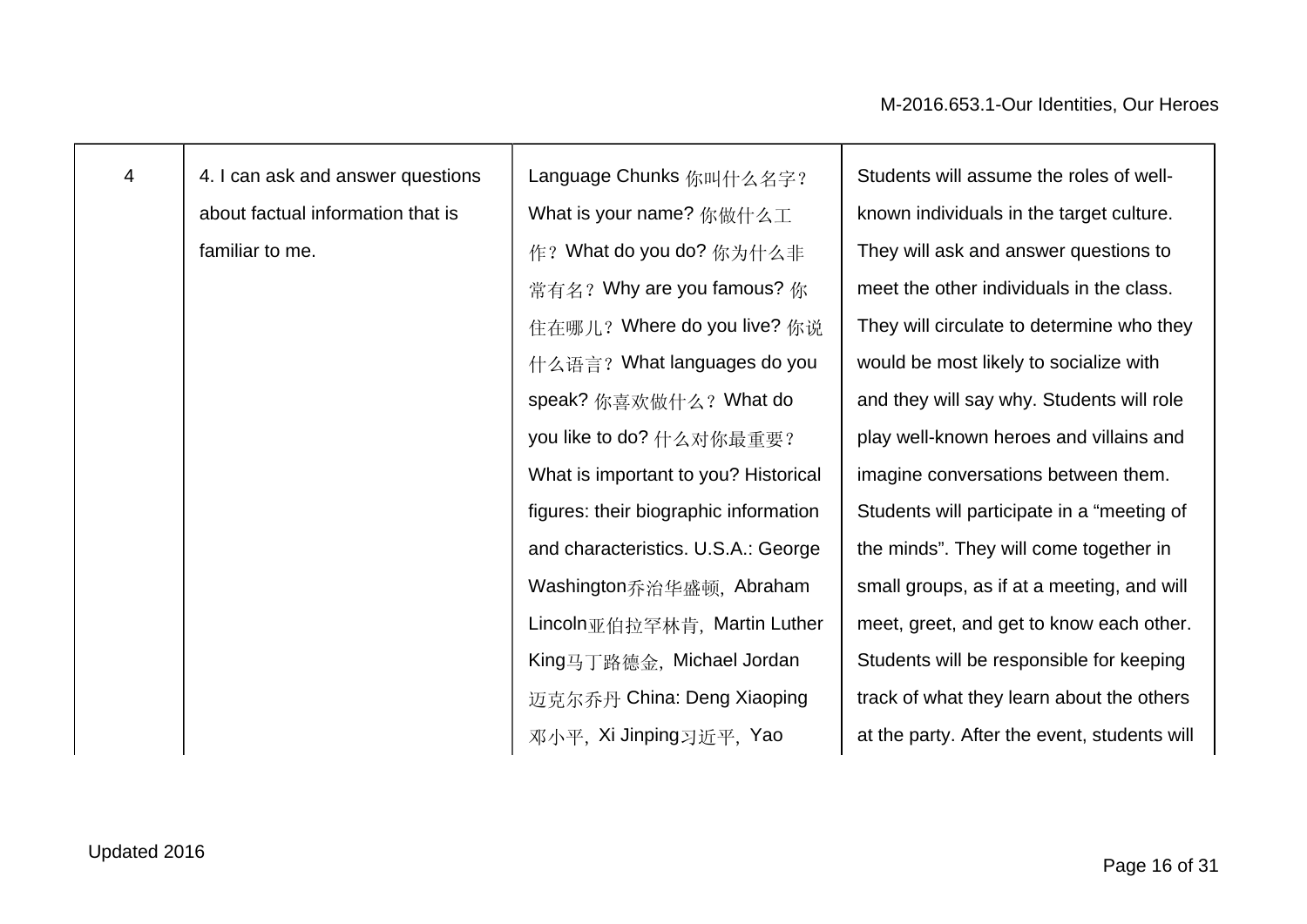| $\overline{4}$ | 4. I can ask and answer questions | Language Chunks 你叫什么名字?               | Students will assume the roles of well-      |
|----------------|-----------------------------------|---------------------------------------|----------------------------------------------|
|                | about factual information that is | What is your name? 你做什么工              | known individuals in the target culture.     |
|                | familiar to me.                   | 作? What do you do? 你为什么非              | They will ask and answer questions to        |
|                |                                   | 常有名? Why are you famous? 你            | meet the other individuals in the class.     |
|                |                                   | 住在哪儿? Where do you live? 你说           | They will circulate to determine who they    |
|                |                                   | 什么语言? What languages do you           | would be most likely to socialize with       |
|                |                                   | speak? 你喜欢做什么? What do                | and they will say why. Students will role    |
|                |                                   | you like to do? 什么对你最重要?              | play well-known heroes and villains and      |
|                |                                   | What is important to you? Historical  | imagine conversations between them.          |
|                |                                   | figures: their biographic information | Students will participate in a "meeting of   |
|                |                                   | and characteristics. U.S.A.: George   | the minds". They will come together in       |
|                |                                   | Washington乔治华盛顿, Abraham              | small groups, as if at a meeting, and will   |
|                |                                   | Lincoln亚伯拉罕林肯, Martin Luther          | meet, greet, and get to know each other.     |
|                |                                   | King马丁路德金, Michael Jordan             | Students will be responsible for keeping     |
|                |                                   | 迈克尔乔丹 China: Deng Xiaoping            | track of what they learn about the others    |
|                |                                   | 邓小平, Xi Jinping习近平, Yao               | at the party. After the event, students will |
|                |                                   |                                       |                                              |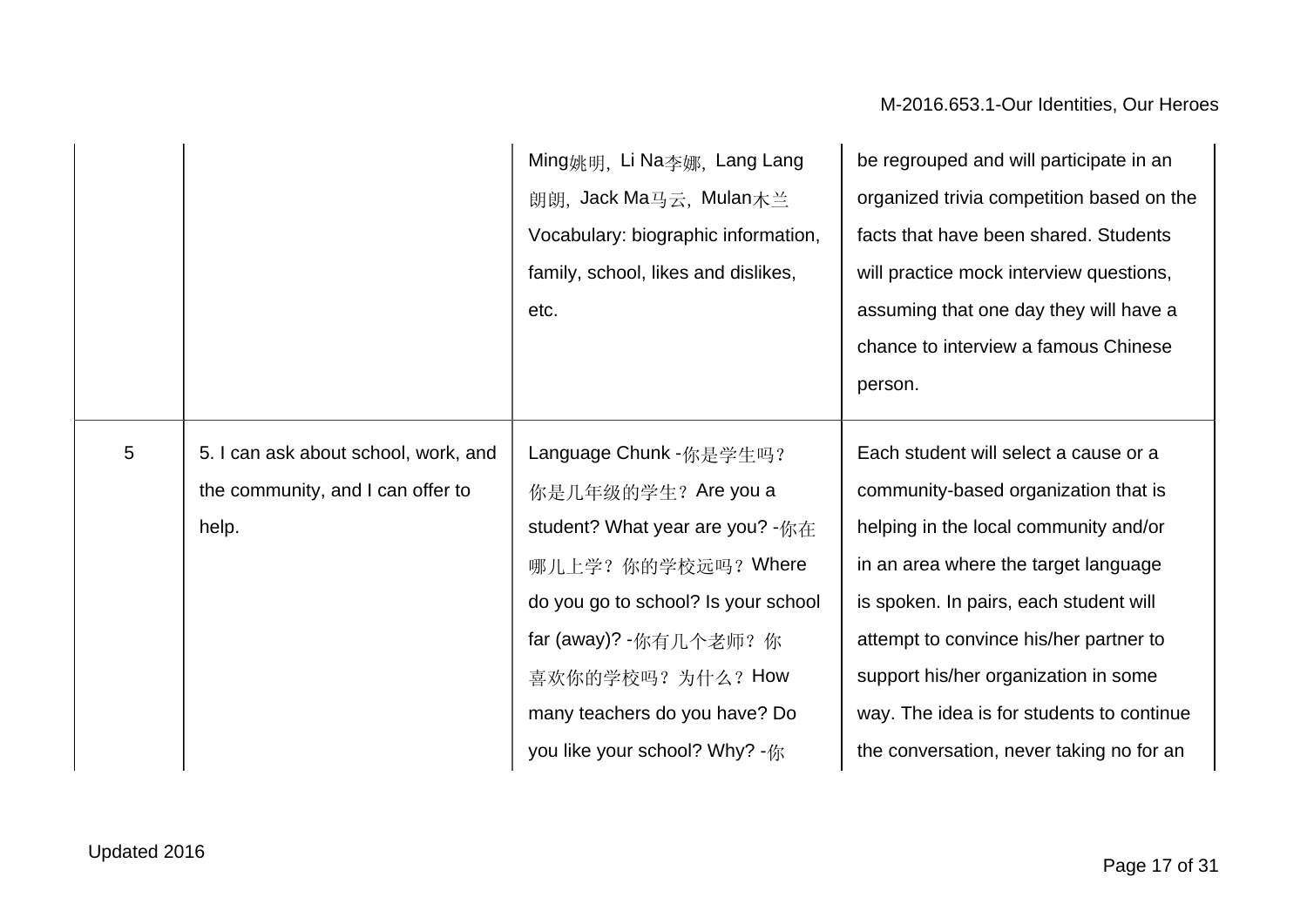|                |                                                                                    | Ming姚明, Li Na李娜, Lang Lang<br>朗朗, Jack Ma马云, Mulan木兰<br>Vocabulary: biographic information,<br>family, school, likes and dislikes,<br>etc.                                   | be regrouped and will participate in an<br>organized trivia competition based on the<br>facts that have been shared. Students<br>will practice mock interview questions,<br>assuming that one day they will have a<br>chance to interview a famous Chinese<br>person. |
|----------------|------------------------------------------------------------------------------------|------------------------------------------------------------------------------------------------------------------------------------------------------------------------------|-----------------------------------------------------------------------------------------------------------------------------------------------------------------------------------------------------------------------------------------------------------------------|
| $\overline{5}$ | 5. I can ask about school, work, and<br>the community, and I can offer to<br>help. | Language Chunk -你是学生吗?<br>你是几年级的学生? Are you a<br>student? What year are you? -你在                                                                                             | Each student will select a cause or a<br>community-based organization that is<br>helping in the local community and/or                                                                                                                                                |
|                |                                                                                    | 哪儿上学? 你的学校远吗? Where<br>do you go to school? Is your school<br>far (away)? - 你有几个老师? 你<br>喜欢你的学校吗? 为什么? How<br>many teachers do you have? Do<br>you like your school? Why? -你 | in an area where the target language<br>is spoken. In pairs, each student will<br>attempt to convince his/her partner to<br>support his/her organization in some<br>way. The idea is for students to continue<br>the conversation, never taking no for an             |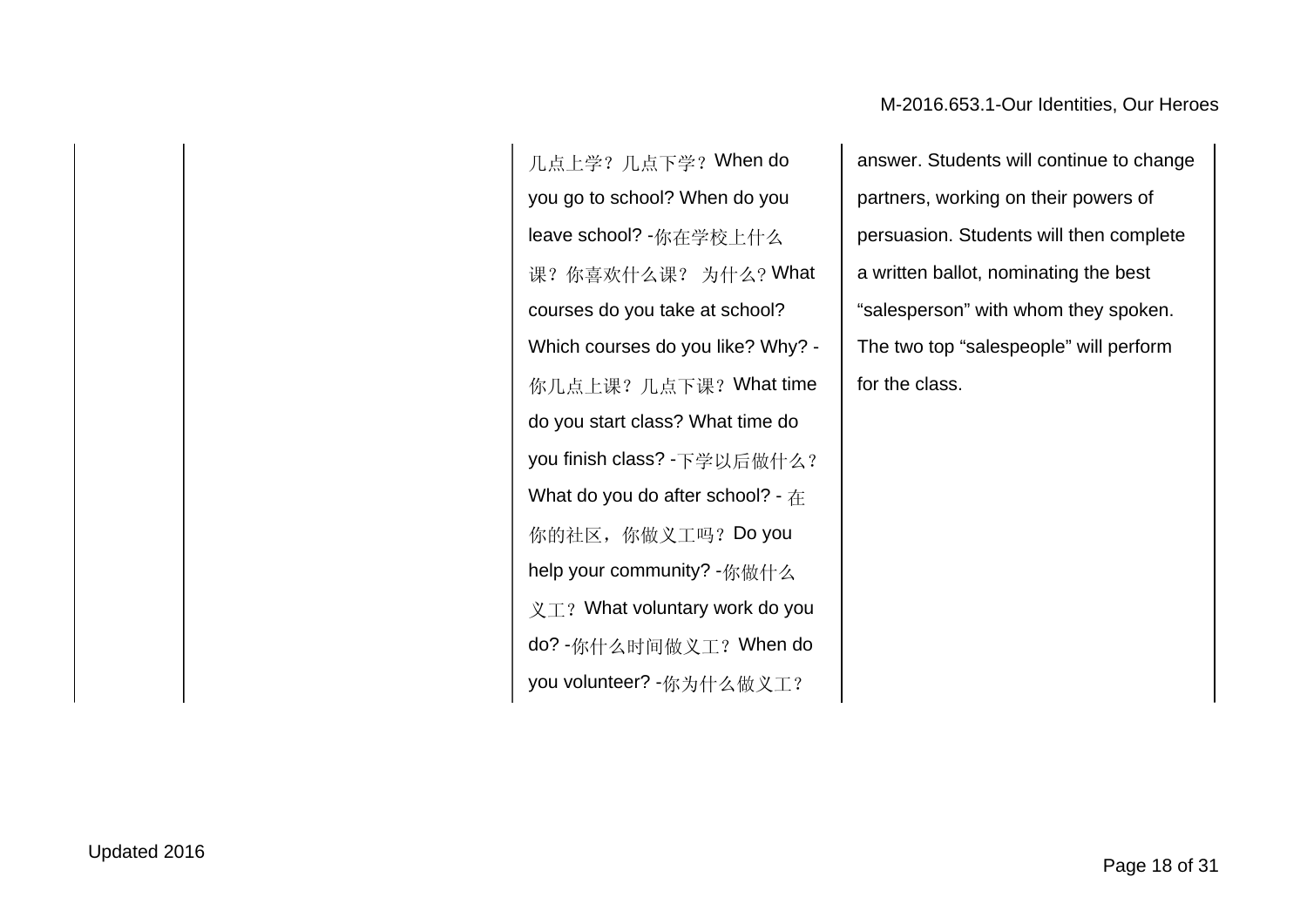几点上学?几点下学?When do you go to school? When do you leave school? -你在学校上什么 课?你喜欢什么课? 为什么? What courses do you take at school? Which courses do you like? Why? - 你几点上课?几点下课?What time do you start class? What time do you finish class? -下学以后做什么? What do you do after school? - 在 你的社区,你做义工吗? Do you help your community? -你做什么  $X \times T$ ? What voluntary work do you do? -你什么时间做义工?When do you volunteer? -你为什么做义工?

answer. Students will continue to change partners, working on their powers of persuasion. Students will then complete a written ballot, nominating the best "salesperson" with whom they spoken. The two top "salespeople" will perform for the class.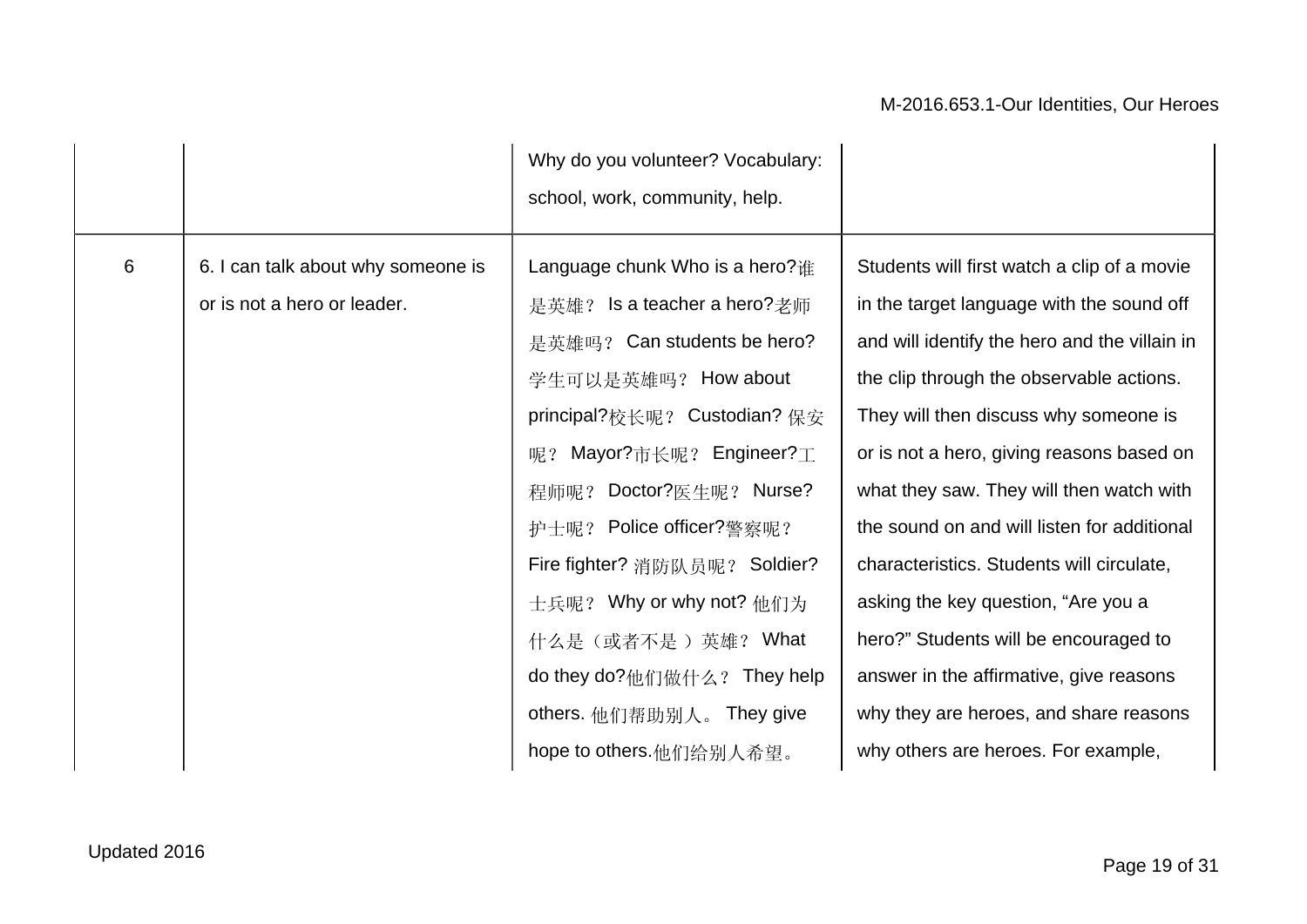|   |                                                                   | Why do you volunteer? Vocabulary:<br>school, work, community, help.                                                                                                                                                                                                                                                                                                                                                   |                                                                                                                                                                                                                                                                                                                                                                                                                                                                                                                                                                                                                                 |
|---|-------------------------------------------------------------------|-----------------------------------------------------------------------------------------------------------------------------------------------------------------------------------------------------------------------------------------------------------------------------------------------------------------------------------------------------------------------------------------------------------------------|---------------------------------------------------------------------------------------------------------------------------------------------------------------------------------------------------------------------------------------------------------------------------------------------------------------------------------------------------------------------------------------------------------------------------------------------------------------------------------------------------------------------------------------------------------------------------------------------------------------------------------|
| 6 | 6. I can talk about why someone is<br>or is not a hero or leader. | Language chunk Who is a hero? $#$<br>是英雄? Is a teacher a hero?老师<br>是英雄吗? Can students be hero?<br>学生可以是英雄吗? How about<br>principal?校长呢? Custodian? 保安<br>Mayor?市长呢? Engineer?工<br>呢?<br>程师呢? Doctor?医生呢? Nurse?<br>护士呢? Police officer?警察呢?<br>Fire fighter? 消防队员呢? Soldier?<br>士兵呢? Why or why not? 他们为<br>什么是(或者不是)英雄? What<br>do they do?他们做什么? They help<br>others. 他们帮助别人。 They give<br>hope to others.他们给别人希望。 | Students will first watch a clip of a movie<br>in the target language with the sound off<br>and will identify the hero and the villain in<br>the clip through the observable actions.<br>They will then discuss why someone is<br>or is not a hero, giving reasons based on<br>what they saw. They will then watch with<br>the sound on and will listen for additional<br>characteristics. Students will circulate,<br>asking the key question, "Are you a<br>hero?" Students will be encouraged to<br>answer in the affirmative, give reasons<br>why they are heroes, and share reasons<br>why others are heroes. For example, |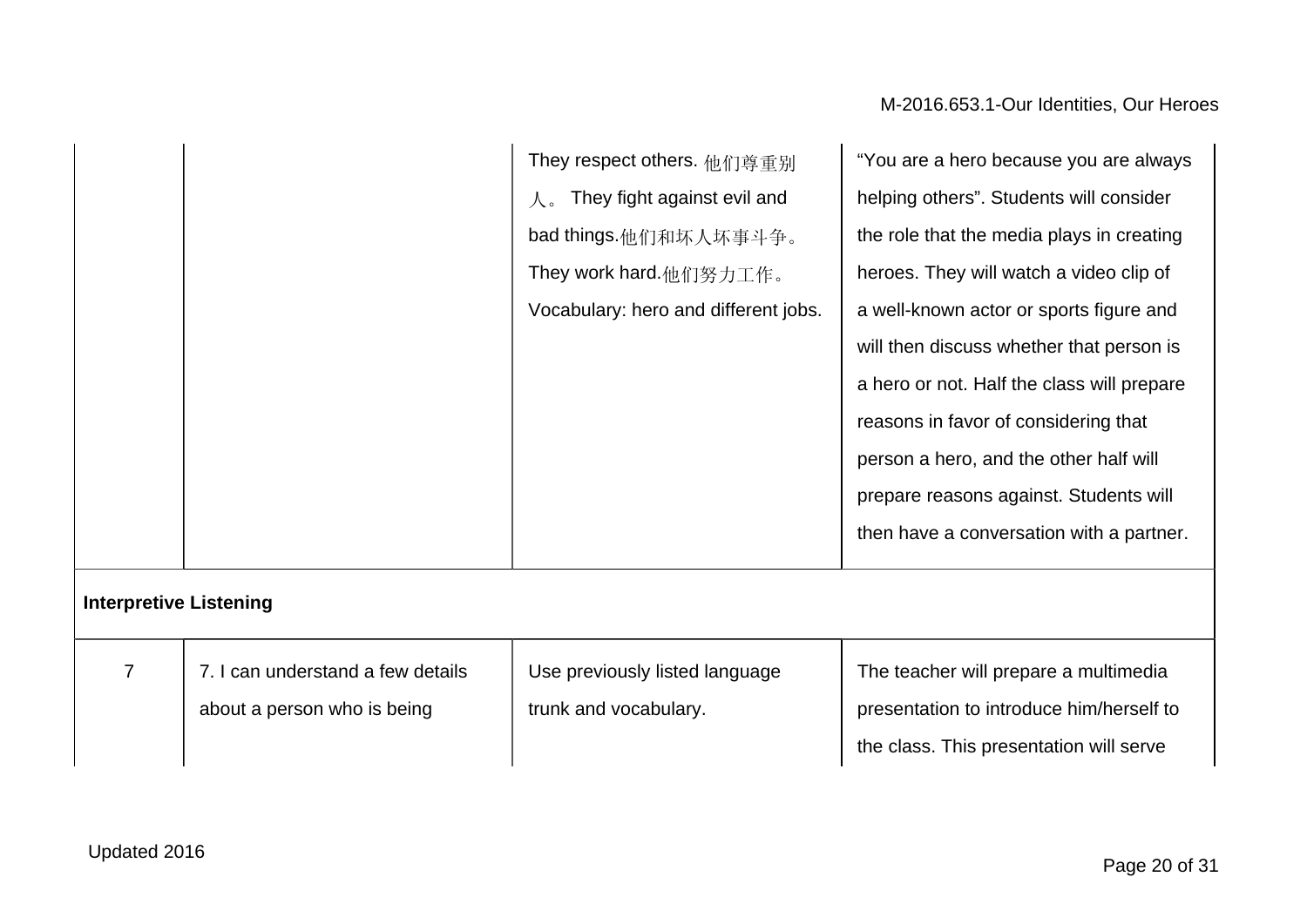|  | They respect others. 他们尊重别           | "You are a hero because you are always     |
|--|--------------------------------------|--------------------------------------------|
|  | They fight against evil and          | helping others". Students will consider    |
|  | bad things.他们和坏人坏事斗争。                | the role that the media plays in creating  |
|  | They work hard.他们努力工作。               | heroes. They will watch a video clip of    |
|  | Vocabulary: hero and different jobs. | a well-known actor or sports figure and    |
|  |                                      | will then discuss whether that person is   |
|  |                                      | a hero or not. Half the class will prepare |
|  |                                      | reasons in favor of considering that       |
|  |                                      | person a hero, and the other half will     |
|  |                                      | prepare reasons against. Students will     |
|  |                                      | then have a conversation with a partner.   |
|  |                                      |                                            |

## **Interpretive Listening**

| I can understand a few details | Use previously listed language | The teacher will prepare a multimedia    |
|--------------------------------|--------------------------------|------------------------------------------|
| about a person who is being    | trunk and vocabulary.          | presentation to introduce him/herself to |
|                                |                                | the class. This presentation will serve  |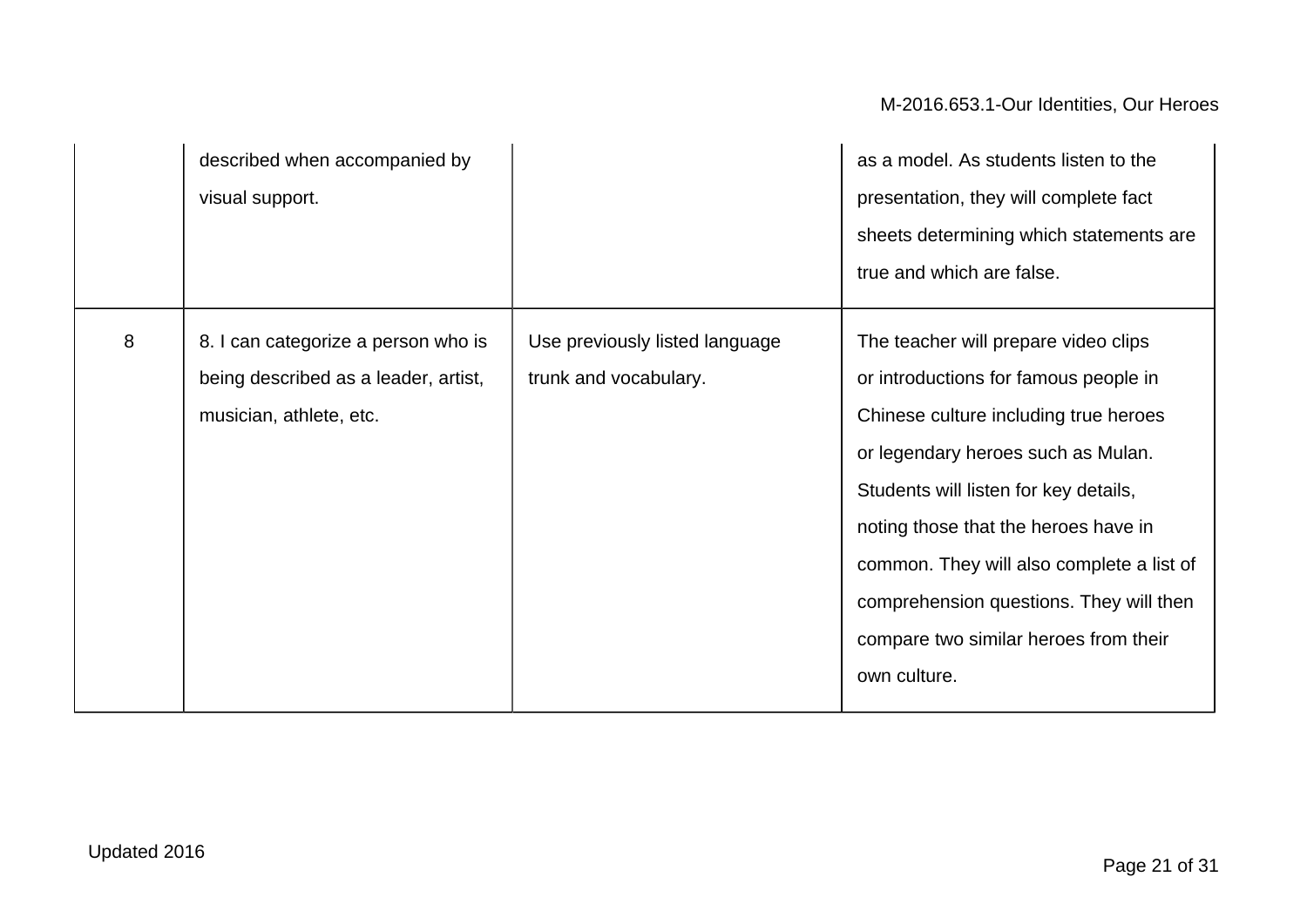|   | described when accompanied by<br>visual support.                                                       |                                                         | as a model. As students listen to the<br>presentation, they will complete fact<br>sheets determining which statements are<br>true and which are false.                                                                                                                                                                                                                                         |
|---|--------------------------------------------------------------------------------------------------------|---------------------------------------------------------|------------------------------------------------------------------------------------------------------------------------------------------------------------------------------------------------------------------------------------------------------------------------------------------------------------------------------------------------------------------------------------------------|
| 8 | 8. I can categorize a person who is<br>being described as a leader, artist,<br>musician, athlete, etc. | Use previously listed language<br>trunk and vocabulary. | The teacher will prepare video clips<br>or introductions for famous people in<br>Chinese culture including true heroes<br>or legendary heroes such as Mulan.<br>Students will listen for key details,<br>noting those that the heroes have in<br>common. They will also complete a list of<br>comprehension questions. They will then<br>compare two similar heroes from their<br>own culture. |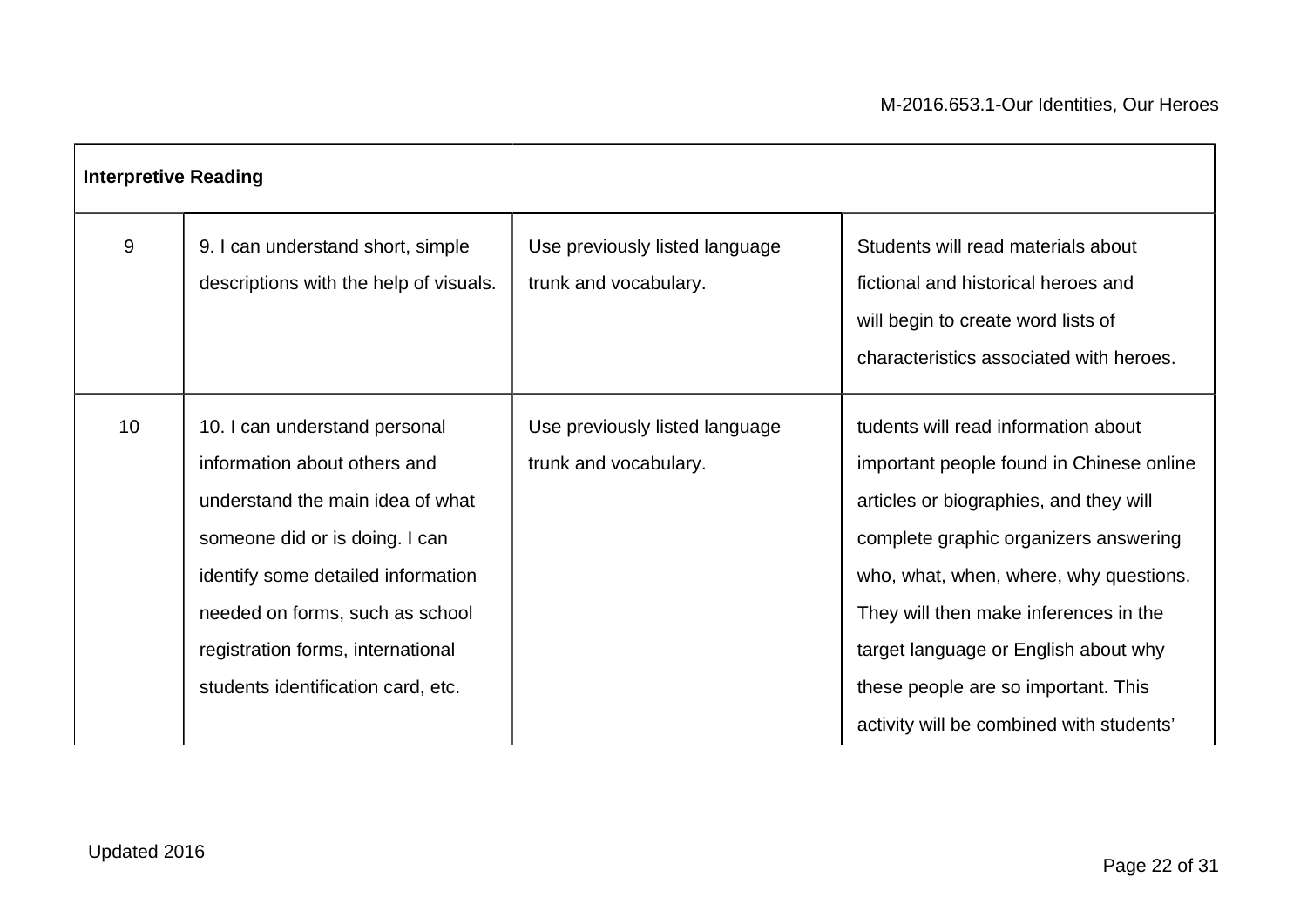| <b>Interpretive Reading</b> |                                                                                                                                                                                                                                                                                         |                                                         |                                                                                                                                                                                                                                                                                                                                                                                  |
|-----------------------------|-----------------------------------------------------------------------------------------------------------------------------------------------------------------------------------------------------------------------------------------------------------------------------------------|---------------------------------------------------------|----------------------------------------------------------------------------------------------------------------------------------------------------------------------------------------------------------------------------------------------------------------------------------------------------------------------------------------------------------------------------------|
| 9                           | 9. I can understand short, simple<br>descriptions with the help of visuals.                                                                                                                                                                                                             | Use previously listed language<br>trunk and vocabulary. | Students will read materials about<br>fictional and historical heroes and<br>will begin to create word lists of<br>characteristics associated with heroes.                                                                                                                                                                                                                       |
| 10                          | 10. I can understand personal<br>information about others and<br>understand the main idea of what<br>someone did or is doing. I can<br>identify some detailed information<br>needed on forms, such as school<br>registration forms, international<br>students identification card, etc. | Use previously listed language<br>trunk and vocabulary. | tudents will read information about<br>important people found in Chinese online<br>articles or biographies, and they will<br>complete graphic organizers answering<br>who, what, when, where, why questions.<br>They will then make inferences in the<br>target language or English about why<br>these people are so important. This<br>activity will be combined with students' |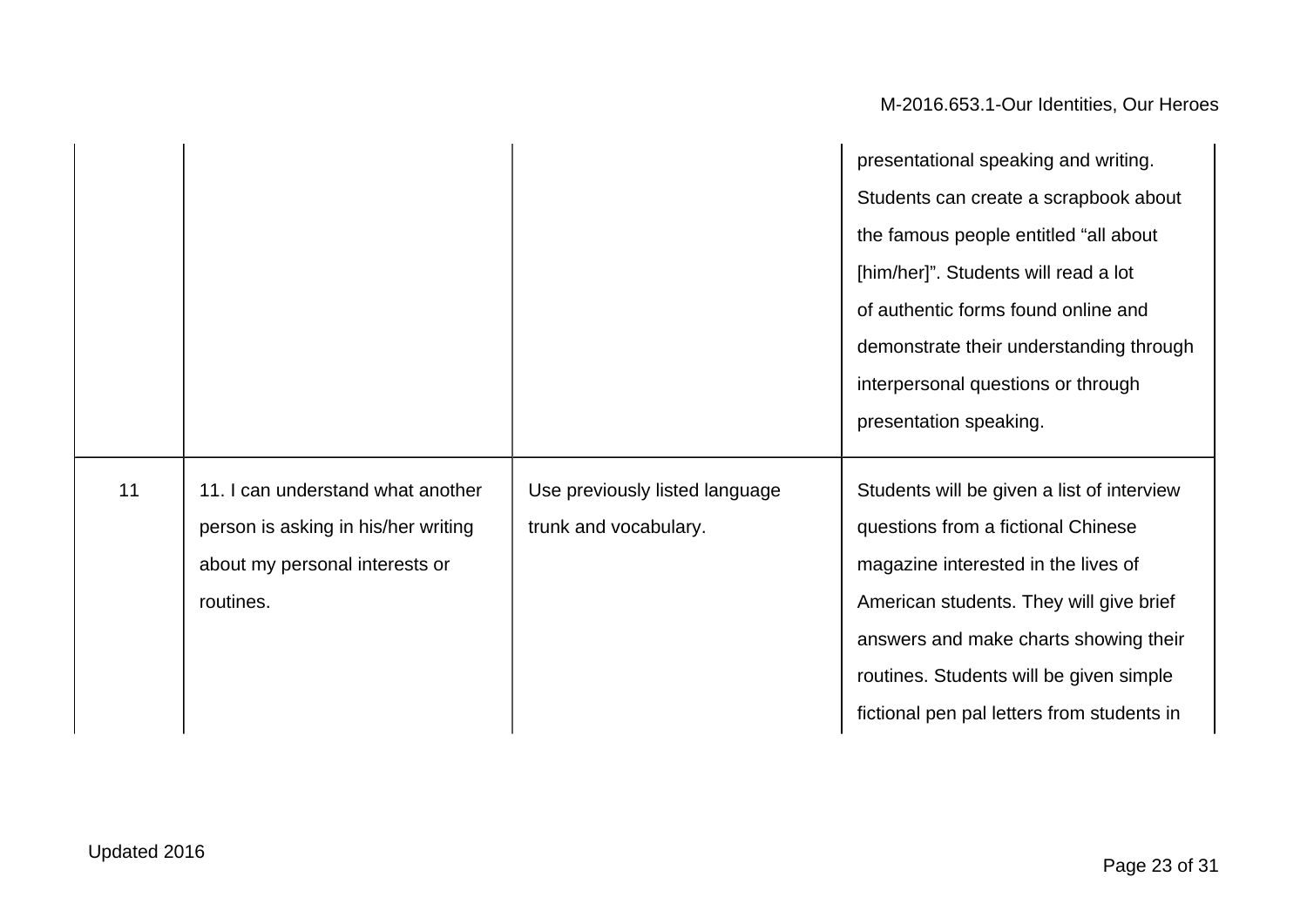|    |                                     |                                | presentational speaking and writing.       |
|----|-------------------------------------|--------------------------------|--------------------------------------------|
|    |                                     |                                | Students can create a scrapbook about      |
|    |                                     |                                | the famous people entitled "all about      |
|    |                                     |                                | [him/her]". Students will read a lot       |
|    |                                     |                                | of authentic forms found online and        |
|    |                                     |                                | demonstrate their understanding through    |
|    |                                     |                                | interpersonal questions or through         |
|    |                                     |                                | presentation speaking.                     |
|    |                                     |                                |                                            |
| 11 | 11. I can understand what another   | Use previously listed language | Students will be given a list of interview |
|    | person is asking in his/her writing | trunk and vocabulary.          | questions from a fictional Chinese         |
|    | about my personal interests or      |                                | magazine interested in the lives of        |
|    | routines.                           |                                | American students. They will give brief    |
|    |                                     |                                | answers and make charts showing their      |
|    |                                     |                                | routines. Students will be given simple    |
|    |                                     |                                | fictional pen pal letters from students in |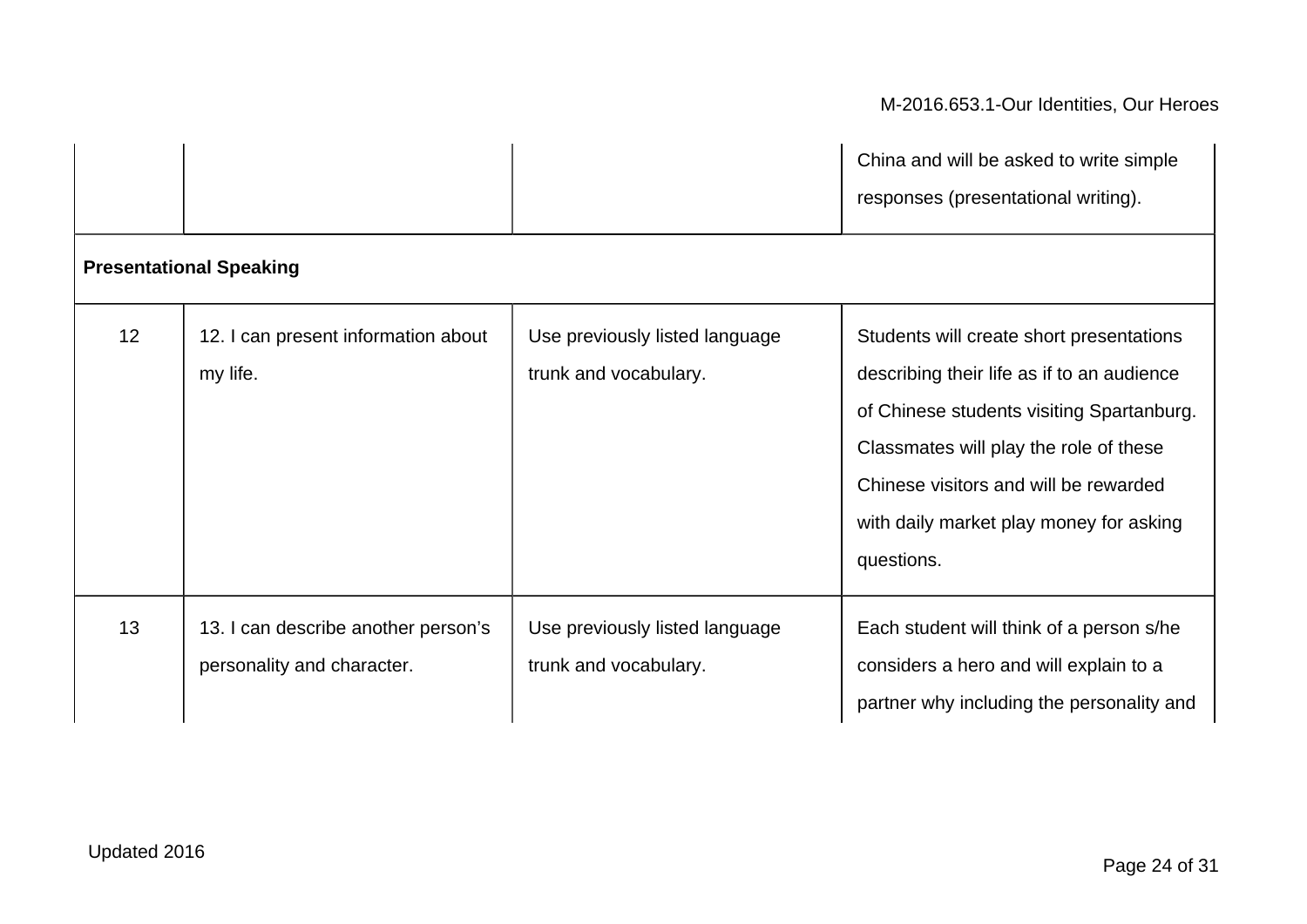|    |                                                                   |                                                         | China and will be asked to write simple<br>responses (presentational writing).                                                                                                                                                                                                  |
|----|-------------------------------------------------------------------|---------------------------------------------------------|---------------------------------------------------------------------------------------------------------------------------------------------------------------------------------------------------------------------------------------------------------------------------------|
|    | <b>Presentational Speaking</b>                                    |                                                         |                                                                                                                                                                                                                                                                                 |
| 12 | 12. I can present information about<br>my life.                   | Use previously listed language<br>trunk and vocabulary. | Students will create short presentations<br>describing their life as if to an audience<br>of Chinese students visiting Spartanburg.<br>Classmates will play the role of these<br>Chinese visitors and will be rewarded<br>with daily market play money for asking<br>questions. |
| 13 | 13. I can describe another person's<br>personality and character. | Use previously listed language<br>trunk and vocabulary. | Each student will think of a person s/he<br>considers a hero and will explain to a<br>partner why including the personality and                                                                                                                                                 |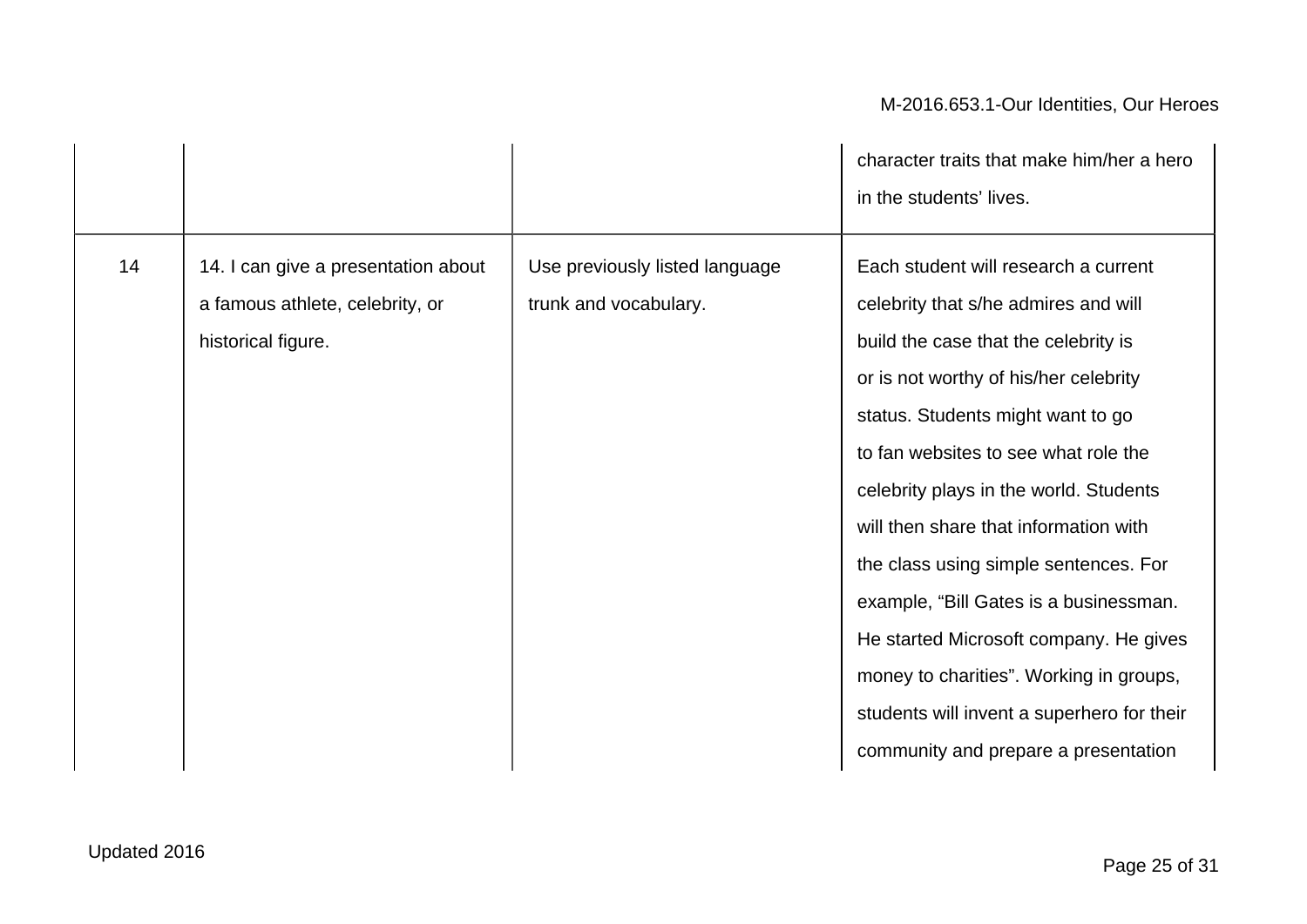|    |                                                                                              |                                                         | character traits that make him/her a hero<br>in the students' lives.                                                                                                                                                                                                                                                                                                                                                                                                                                                                                                                        |
|----|----------------------------------------------------------------------------------------------|---------------------------------------------------------|---------------------------------------------------------------------------------------------------------------------------------------------------------------------------------------------------------------------------------------------------------------------------------------------------------------------------------------------------------------------------------------------------------------------------------------------------------------------------------------------------------------------------------------------------------------------------------------------|
| 14 | 14. I can give a presentation about<br>a famous athlete, celebrity, or<br>historical figure. | Use previously listed language<br>trunk and vocabulary. | Each student will research a current<br>celebrity that s/he admires and will<br>build the case that the celebrity is<br>or is not worthy of his/her celebrity<br>status. Students might want to go<br>to fan websites to see what role the<br>celebrity plays in the world. Students<br>will then share that information with<br>the class using simple sentences. For<br>example, "Bill Gates is a businessman.<br>He started Microsoft company. He gives<br>money to charities". Working in groups,<br>students will invent a superhero for their<br>community and prepare a presentation |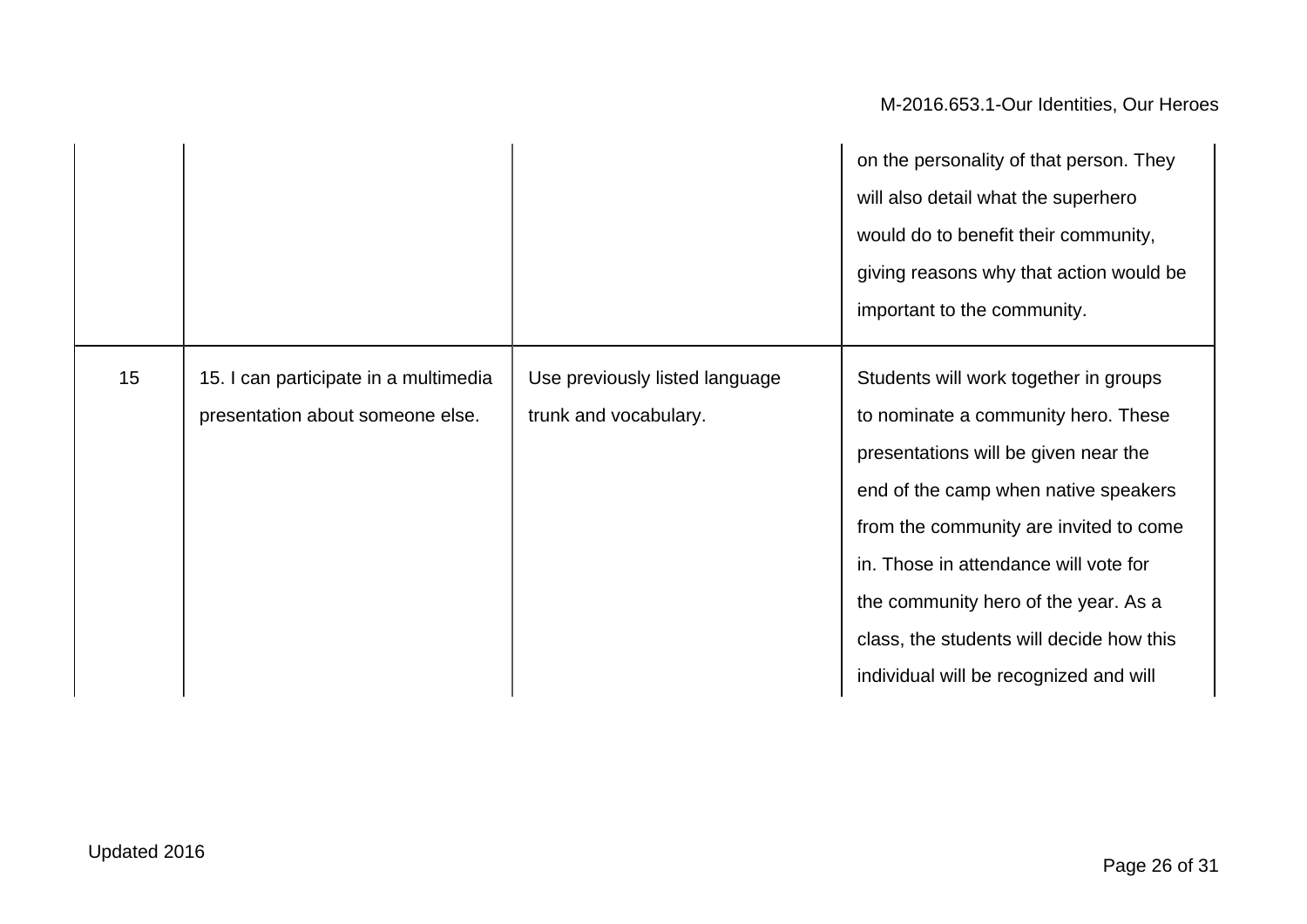|    |                                                                           |                                                         | on the personality of that person. They<br>will also detail what the superhero<br>would do to benefit their community,<br>giving reasons why that action would be<br>important to the community.                                                                                                                                                                              |
|----|---------------------------------------------------------------------------|---------------------------------------------------------|-------------------------------------------------------------------------------------------------------------------------------------------------------------------------------------------------------------------------------------------------------------------------------------------------------------------------------------------------------------------------------|
| 15 | 15. I can participate in a multimedia<br>presentation about someone else. | Use previously listed language<br>trunk and vocabulary. | Students will work together in groups<br>to nominate a community hero. These<br>presentations will be given near the<br>end of the camp when native speakers<br>from the community are invited to come<br>in. Those in attendance will vote for<br>the community hero of the year. As a<br>class, the students will decide how this<br>individual will be recognized and will |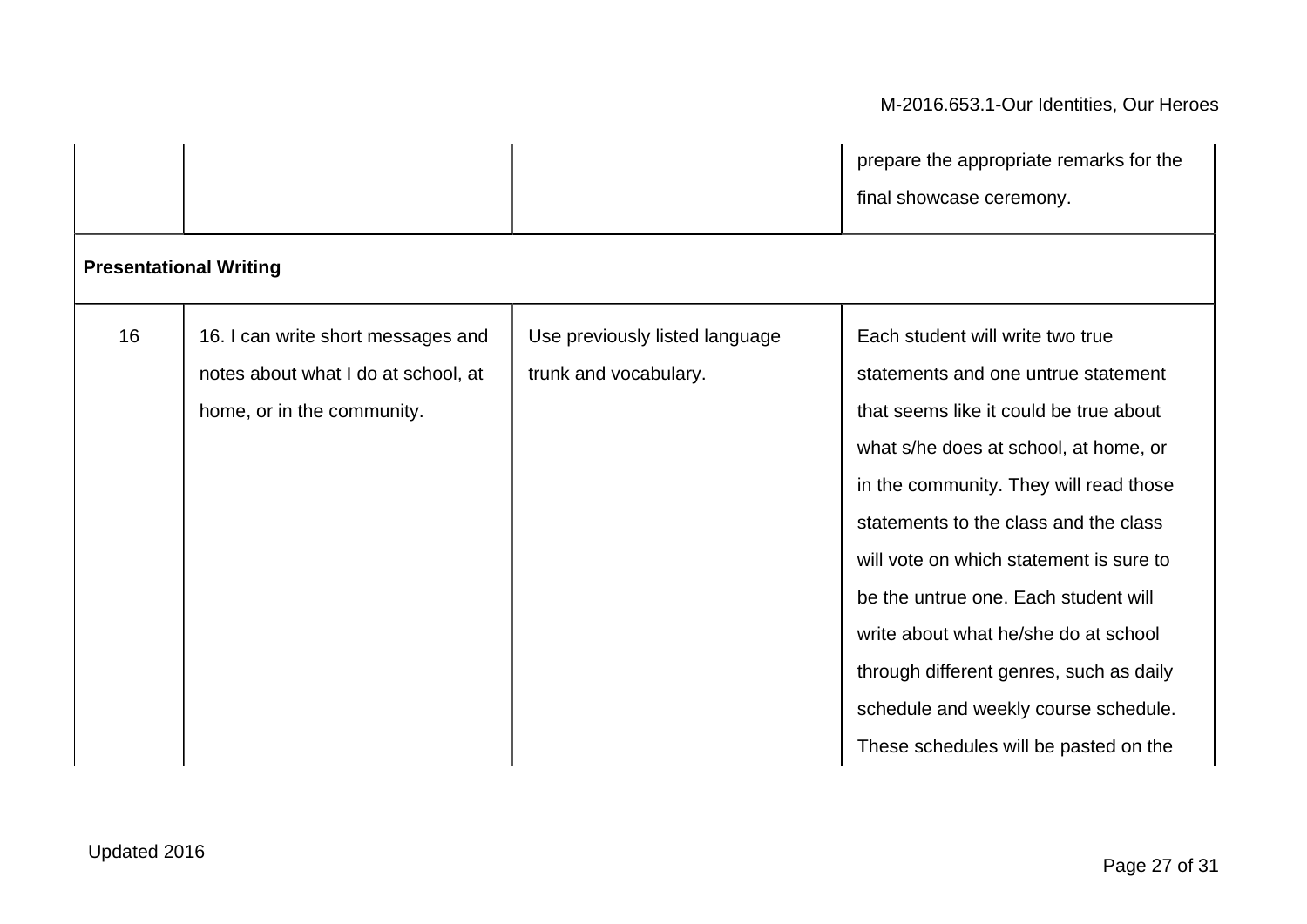|                               |                                                                                                         |                                                         | prepare the appropriate remarks for the<br>final showcase ceremony.                                                                                                                                                                                                                                                                                                                                                                                                                                  |
|-------------------------------|---------------------------------------------------------------------------------------------------------|---------------------------------------------------------|------------------------------------------------------------------------------------------------------------------------------------------------------------------------------------------------------------------------------------------------------------------------------------------------------------------------------------------------------------------------------------------------------------------------------------------------------------------------------------------------------|
| <b>Presentational Writing</b> |                                                                                                         |                                                         |                                                                                                                                                                                                                                                                                                                                                                                                                                                                                                      |
| 16                            | 16. I can write short messages and<br>notes about what I do at school, at<br>home, or in the community. | Use previously listed language<br>trunk and vocabulary. | Each student will write two true<br>statements and one untrue statement<br>that seems like it could be true about<br>what s/he does at school, at home, or<br>in the community. They will read those<br>statements to the class and the class<br>will vote on which statement is sure to<br>be the untrue one. Each student will<br>write about what he/she do at school<br>through different genres, such as daily<br>schedule and weekly course schedule.<br>These schedules will be pasted on the |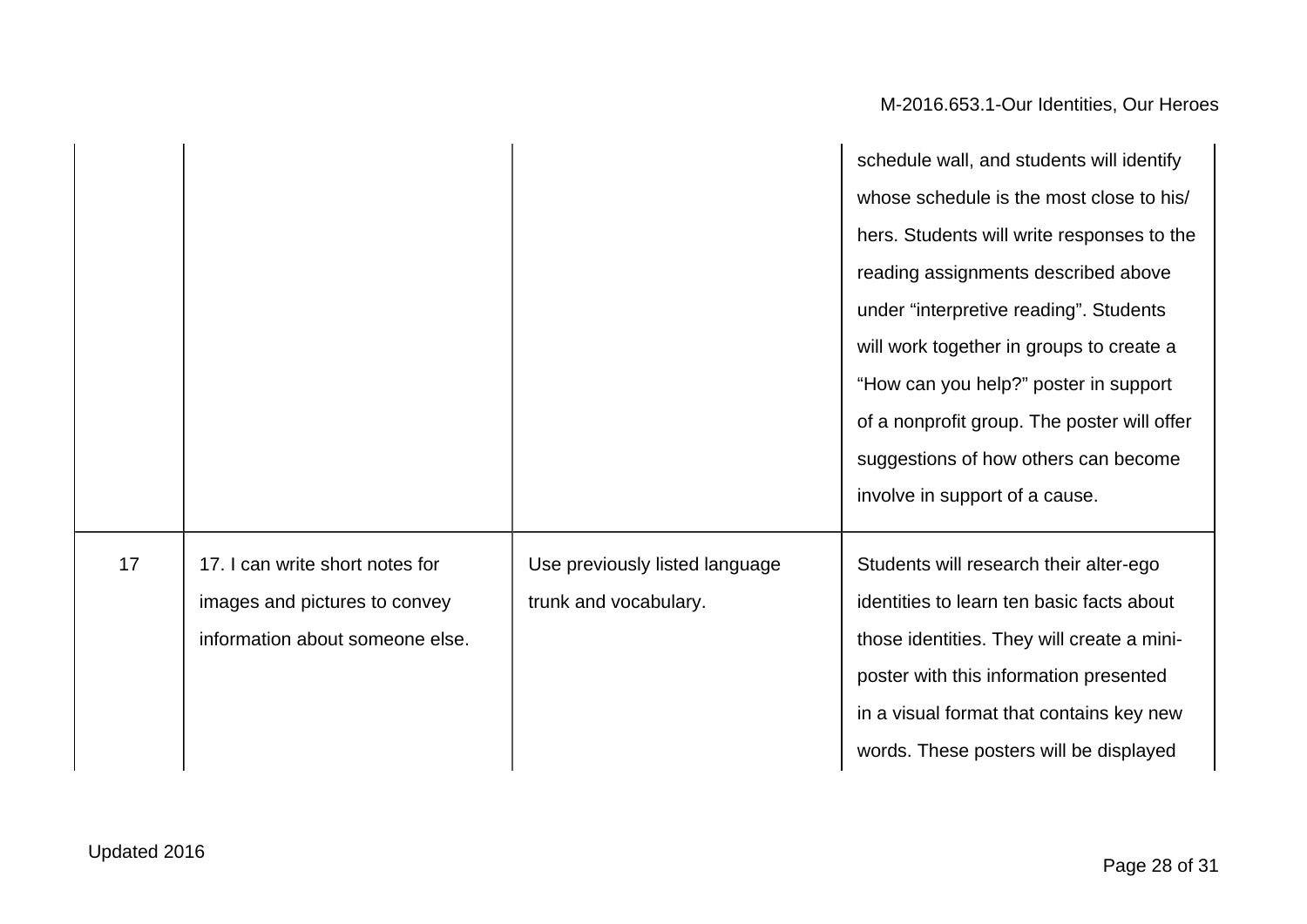|    |                                 |                                | schedule wall, and students will identify   |
|----|---------------------------------|--------------------------------|---------------------------------------------|
|    |                                 |                                | whose schedule is the most close to his/    |
|    |                                 |                                | hers. Students will write responses to the  |
|    |                                 |                                | reading assignments described above         |
|    |                                 |                                | under "interpretive reading". Students      |
|    |                                 |                                | will work together in groups to create a    |
|    |                                 |                                | "How can you help?" poster in support       |
|    |                                 |                                | of a nonprofit group. The poster will offer |
|    |                                 |                                | suggestions of how others can become        |
|    |                                 |                                | involve in support of a cause.              |
| 17 | 17. I can write short notes for | Use previously listed language | Students will research their alter-ego      |
|    | images and pictures to convey   | trunk and vocabulary.          | identities to learn ten basic facts about   |
|    | information about someone else. |                                | those identities. They will create a mini-  |
|    |                                 |                                | poster with this information presented      |
|    |                                 |                                | in a visual format that contains key new    |
|    |                                 |                                | words. These posters will be displayed      |
|    |                                 |                                |                                             |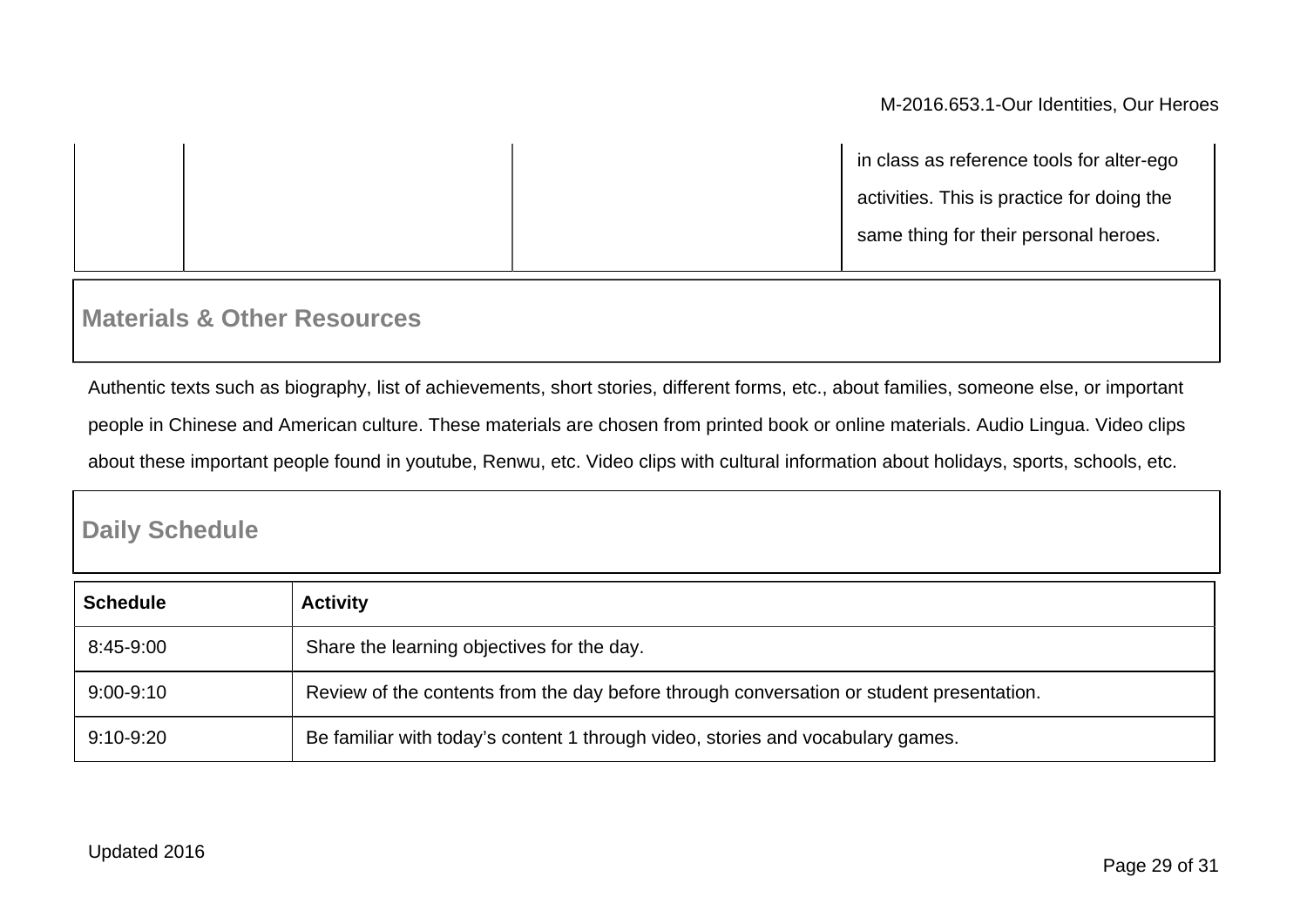|  | in class as reference tools for alter-ego  |
|--|--------------------------------------------|
|  | activities. This is practice for doing the |
|  | same thing for their personal heroes.      |
|  |                                            |

### **Materials & Other Resources**

Authentic texts such as biography, list of achievements, short stories, different forms, etc., about families, someone else, or important people in Chinese and American culture. These materials are chosen from printed book or online materials. Audio Lingua. Video clips about these important people found in youtube, Renwu, etc. Video clips with cultural information about holidays, sports, schools, etc.

## **Daily Schedule**

| <b>Schedule</b> | <b>Activity</b>                                                                          |
|-----------------|------------------------------------------------------------------------------------------|
| 8:45-9:00       | Share the learning objectives for the day.                                               |
| $9:00 - 9:10$   | Review of the contents from the day before through conversation or student presentation. |
| $9:10 - 9:20$   | Be familiar with today's content 1 through video, stories and vocabulary games.          |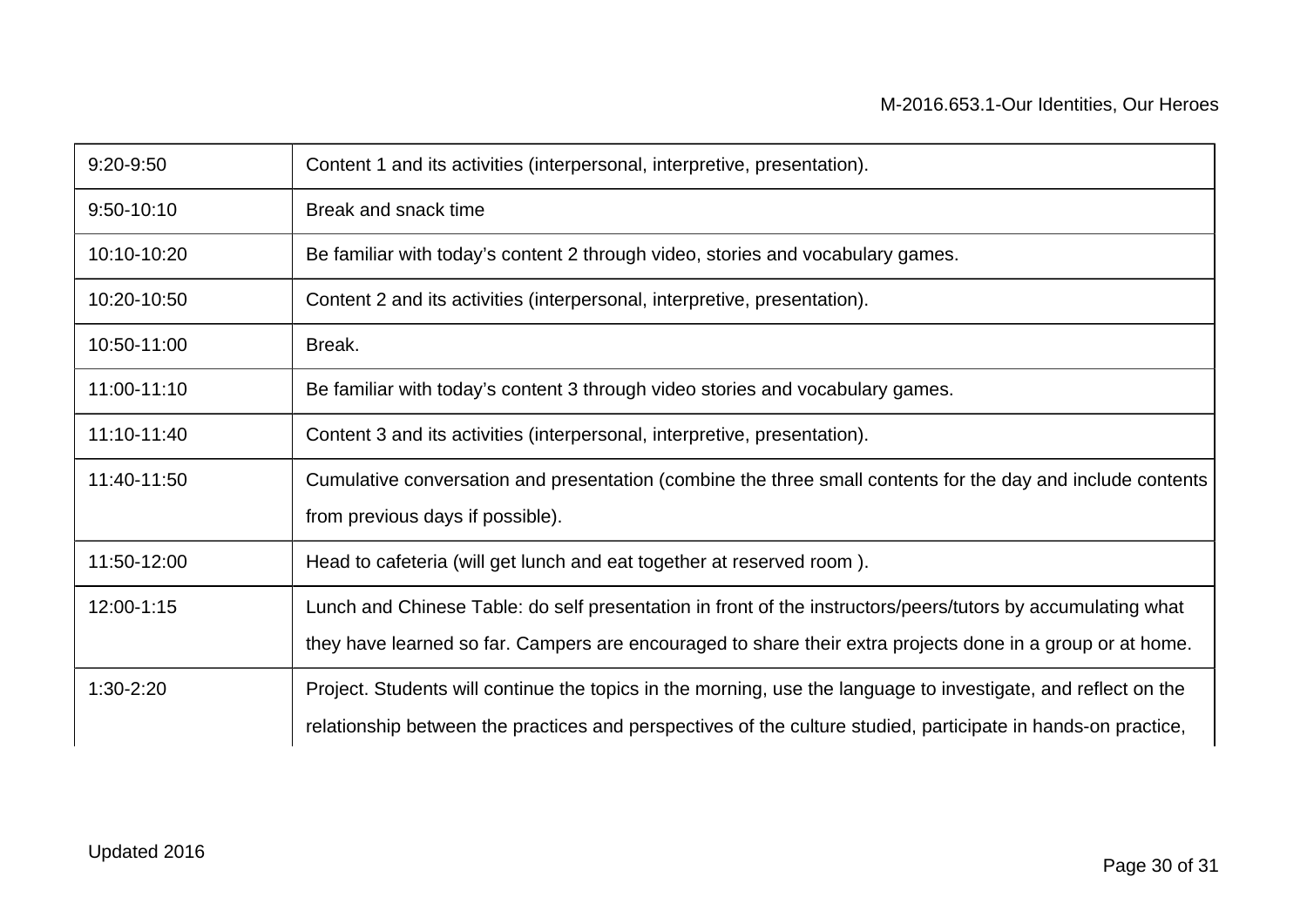| 9:20-9:50      | Content 1 and its activities (interpersonal, interpretive, presentation).                                      |
|----------------|----------------------------------------------------------------------------------------------------------------|
| $9:50 - 10:10$ | Break and snack time                                                                                           |
| 10:10-10:20    | Be familiar with today's content 2 through video, stories and vocabulary games.                                |
| 10:20-10:50    | Content 2 and its activities (interpersonal, interpretive, presentation).                                      |
| 10:50-11:00    | Break.                                                                                                         |
| 11:00-11:10    | Be familiar with today's content 3 through video stories and vocabulary games.                                 |
| 11:10-11:40    | Content 3 and its activities (interpersonal, interpretive, presentation).                                      |
| 11:40-11:50    | Cumulative conversation and presentation (combine the three small contents for the day and include contents    |
|                | from previous days if possible).                                                                               |
| 11:50-12:00    | Head to cafeteria (will get lunch and eat together at reserved room).                                          |
| 12:00-1:15     | Lunch and Chinese Table: do self presentation in front of the instructors/peers/tutors by accumulating what    |
|                | they have learned so far. Campers are encouraged to share their extra projects done in a group or at home.     |
| 1:30-2:20      | Project. Students will continue the topics in the morning, use the language to investigate, and reflect on the |
|                | relationship between the practices and perspectives of the culture studied, participate in hands-on practice,  |